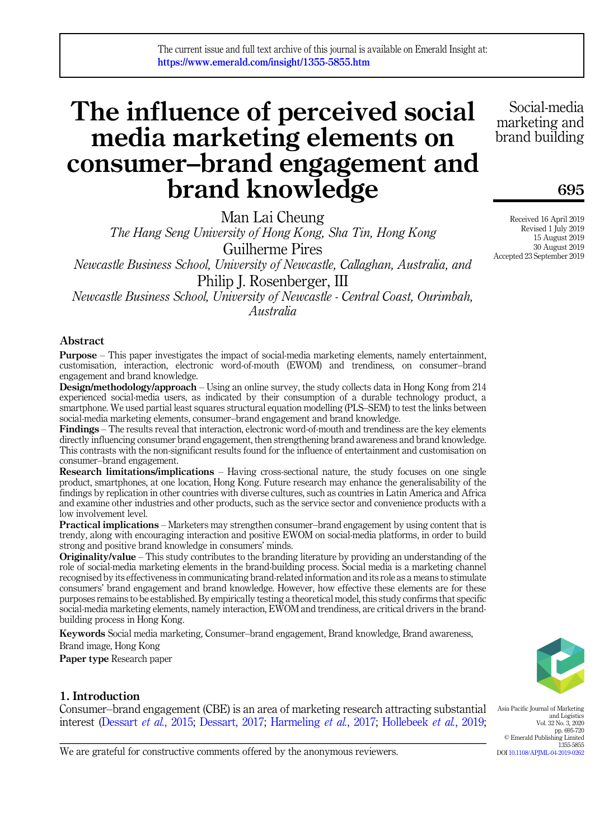# The influence of perceived social media marketing elements on consumer–brand engagement and brand knowledge

Man Lai Cheung

The Hang Seng University of Hong Kong, Sha Tin, Hong Kong Guilherme Pires Newcastle Business School, University of Newcastle, Callaghan, Australia, and Philip J. Rosenberger, III

Newcastle Business School, University of Newcastle - Central Coast, Ourimbah, Australia

# Abstract

Purpose – This paper investigates the impact of social-media marketing elements, namely entertainment, customisation, interaction, electronic word-of-mouth (EWOM) and trendiness, on consumer–brand engagement and brand knowledge.

Design/methodology/approach – Using an online survey, the study collects data in Hong Kong from 214 experienced social-media users, as indicated by their consumption of a durable technology product, a smartphone. We used partial least squares structural equation modelling (PLS–SEM) to test the links between social-media marketing elements, consumer–brand engagement and brand knowledge.

Findings – The results reveal that interaction, electronic word-of-mouth and trendiness are the key elements directly influencing consumer brand engagement, then strengthening brand awareness and brand knowledge. This contrasts with the non-significant results found for the influence of entertainment and customisation on consumer–brand engagement.

Research limitations/implications – Having cross-sectional nature, the study focuses on one single product, smartphones, at one location, Hong Kong. Future research may enhance the generalisability of the findings by replication in other countries with diverse cultures, such as countries in Latin America and Africa and examine other industries and other products, such as the service sector and convenience products with a low involvement level.

Practical implications – Marketers may strengthen consumer–brand engagement by using content that is trendy, along with encouraging interaction and positive EWOM on social-media platforms, in order to build strong and positive brand knowledge in consumers' minds.

**Originality/value** – This study contributes to the branding literature by providing an understanding of the role of social-media marketing elements in the brand-building process. Social media is a marketing channel recognised by its effectiveness in communicating brand-related information and its role as a means to stimulate consumers' brand engagement and brand knowledge. However, how effective these elements are for these purposes remains to be established. By empirically testing a theoretical model, this study confirms that specific social-media marketing elements, namely interaction, EWOM and trendiness, are critical drivers in the brandbuilding process in Hong Kong.

Keywords Social media marketing, Consumer–brand engagement, Brand knowledge, Brand awareness,

Brand image, Hong Kong

Paper type Research paper

# 1. Introduction

Consumer–brand engagement (CBE) is an area of marketing research attracting substantial interest ([Dessart](#page-18-0) *et al.*, 2015; [Dessart, 2017](#page-18-1); [Harmeling](#page-20-0) *et al.*, 2017; [Hollebeek](#page-20-1) *et al.*, 2019;

Asia Pacific Journal of Marketing and Logistics Vol. 32 No. 3, 2020 pp. 695-720 © Emerald Publishing Limited 1355-5855 DOI [10.1108/APJML-04-2019-0262](https://doi.org/10.1108/APJML-04-2019-0262)

We are grateful for constructive comments offered by the anonymous reviewers.

marketing and brand building

Social-media

# 695

Received 16 April 2019 Revised 1 July 2019 15 August 2019 30 August 2019 Accepted 23 September 2019

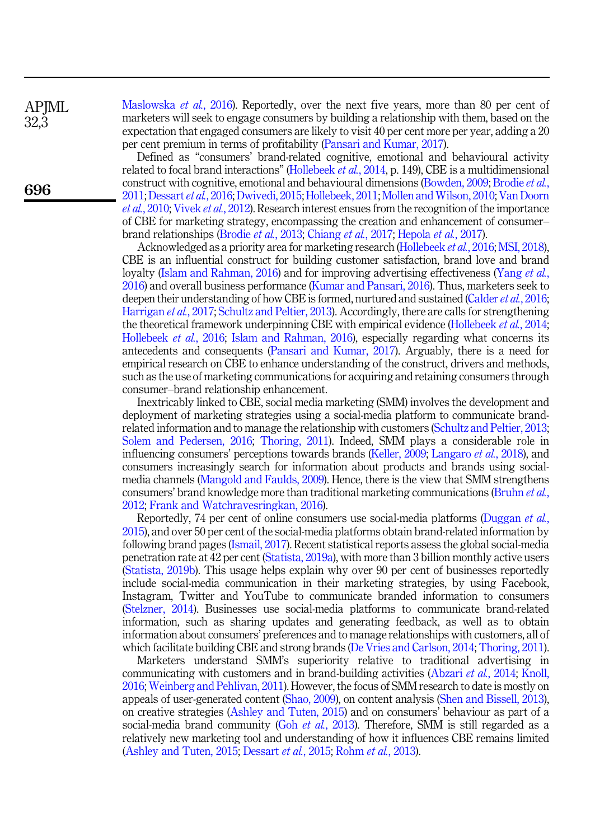[Maslowska](#page-22-0) et al., 2016). Reportedly, over the next five years, more than 80 per cent of marketers will seek to engage consumers by building a relationship with them, based on the expectation that engaged consumers are likely to visit 40 per cent more per year, adding a 20 per cent premium in terms of profitability ([Pansari and Kumar, 2017](#page-23-0)).

Defined as "consumers' brand-related cognitive, emotional and behavioural activity related to focal brand interactions" [\(Hollebeek](#page-20-2) *et al.*, 2014, p. 149), CBE is a multidimensional construct with cognitive, emotional and behavioural dimensions [\(Bowden, 2009;](#page-17-0) [Brodie](#page-17-1) et al., [2011;](#page-17-1) [Dessart](#page-18-2) et al., 2016; [Dwivedi, 2015;](#page-19-0) [Hollebeek, 2011](#page-20-3); [Mollen and Wilson, 2010;](#page-22-1) [Van Doorn](#page-24-0) et al.[, 2010](#page-24-0); [Vivek](#page-24-1) et al., 2012). Research interest ensues from the recognition of the importance of CBE for marketing strategy, encompassing the creation and enhancement of consumer– brand relationships [\(Brodie](#page-17-2) et al., 2013; [Chiang](#page-18-3) et al., 2017; [Hepola](#page-20-4) et al., 2017).

Acknowledged as a priority area for marketing research ([Hollebeek](#page-20-5) et al., 2016; [MSI, 2018\)](#page-22-2), CBE is an influential construct for building customer satisfaction, brand love and brand loyalty ([Islam and Rahman, 2016](#page-20-6)) and for improving advertising effectiveness [\(Yang](#page-25-0) et al., [2016\)](#page-25-0) and overall business performance ([Kumar and Pansari, 2016](#page-21-0)). Thus, marketers seek to deepen their understanding of how CBE is formed, nurtured and sustained [\(Calder](#page-17-3)  $et al.$ , 2016; [Harrigan](#page-20-7) et al., 2017; [Schultz and Peltier, 2013\)](#page-23-1). Accordingly, there are calls for strengthening the theoretical framework underpinning CBE with empirical evidence [\(Hollebeek](#page-20-2) *et al.*, 2014; [Hollebeek](#page-20-5) et al., 2016; [Islam and Rahman, 2016\)](#page-20-6), especially regarding what concerns its antecedents and consequents [\(Pansari and Kumar, 2017](#page-23-0)). Arguably, there is a need for empirical research on CBE to enhance understanding of the construct, drivers and methods, such as the use of marketing communications for acquiring and retaining consumers through consumer–brand relationship enhancement.

Inextricably linked to CBE, social media marketing (SMM) involves the development and deployment of marketing strategies using a social-media platform to communicate brandrelated information and to manage the relationship with customers ([Schultz and Peltier, 2013](#page-23-1); [Solem and Pedersen, 2016](#page-24-2); [Thoring, 2011](#page-24-3)). Indeed, SMM plays a considerable role in influencing consumers' perceptions towards brands ([Keller, 2009](#page-21-1); [Langaro](#page-21-2) et al., 2018), and consumers increasingly search for information about products and brands using socialmedia channels [\(Mangold and Faulds, 2009](#page-22-3)). Hence, there is the view that SMM strengthens consumers' brand knowledge more than traditional marketing communications [\(Bruhn](#page-17-4) *et al.*, [2012;](#page-17-4) [Frank and Watchravesringkan, 2016](#page-19-1)).

Reportedly, 74 per cent of online consumers use social-media platforms ([Duggan](#page-19-2) et al., [2015\)](#page-19-2), and over 50 per cent of the social-media platforms obtain brand-related information by following brand pages ([Ismail, 2017](#page-20-8)). Recent statistical reports assess the global social-media penetration rate at 42 per cent [\(Statista, 2019a\)](#page-24-4), with more than 3 billion monthly active users ([Statista, 2019b](#page-24-5)). This usage helps explain why over 90 per cent of businesses reportedly include social-media communication in their marketing strategies, by using Facebook, Instagram, Twitter and YouTube to communicate branded information to consumers ([Stelzner, 2014\)](#page-24-6). Businesses use social-media platforms to communicate brand-related information, such as sharing updates and generating feedback, as well as to obtain information about consumers' preferences and to manage relationships with customers, all of which facilitate building CBE and strong brands [\(De Vries and Carlson, 2014](#page-18-4); [Thoring, 2011\)](#page-24-3).

Marketers understand SMM's superiority relative to traditional advertising in communicating with customers and in brand-building activities ([Abzari](#page-16-0) et al., 2014; [Knoll,](#page-21-3) [2016;](#page-21-3) [Weinberg and Pehlivan, 2011\)](#page-25-1). However, the focus of SMM research to date is mostly on appeals of user-generated content [\(Shao, 2009\)](#page-23-2), on content analysis [\(Shen and Bissell, 2013\)](#page-23-3), on creative strategies [\(Ashley and Tuten, 2015\)](#page-16-1) and on consumers' behaviour as part of a social-media brand community (Goh *et al.*[, 2013](#page-19-3)). Therefore, SMM is still regarded as a relatively new marketing tool and understanding of how it influences CBE remains limited ([Ashley and Tuten, 2015;](#page-16-1) [Dessart](#page-18-0) et al., 2015; [Rohm](#page-23-4) et al., 2013).

APIML 32,3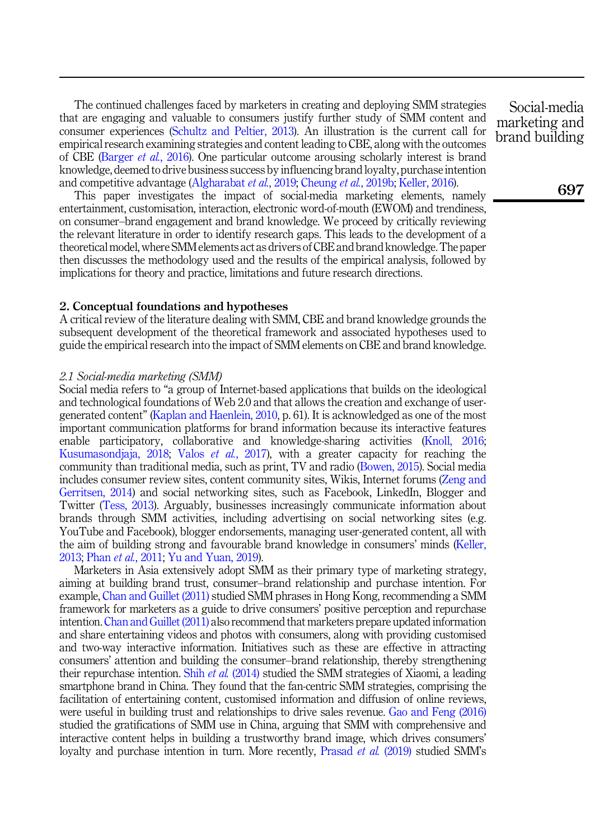The continued challenges faced by marketers in creating and deploying SMM strategies that are engaging and valuable to consumers justify further study of SMM content and consumer experiences ([Schultz and Peltier, 2013](#page-23-1)). An illustration is the current call for empirical research examining strategies and content leading to CBE, along with the outcomes of CBE [\(Barger](#page-16-2) et al., 2016). One particular outcome arousing scholarly interest is brand knowledge, deemed to drive business success by influencing brand loyalty, purchase intention and competitive advantage [\(Algharabat](#page-16-3) et al., 2019; [Cheung](#page-18-5) et al., 2019b; [Keller, 2016](#page-21-4)).

This paper investigates the impact of social-media marketing elements, namely entertainment, customisation, interaction, electronic word-of-mouth (EWOM) and trendiness, on consumer–brand engagement and brand knowledge. We proceed by critically reviewing the relevant literature in order to identify research gaps. This leads to the development of a theoretical model, where SMM elements act as drivers of CBE and brand knowledge. The paper then discusses the methodology used and the results of the empirical analysis, followed by implications for theory and practice, limitations and future research directions.

# 2. Conceptual foundations and hypotheses

A critical review of the literature dealing with SMM, CBE and brand knowledge grounds the subsequent development of the theoretical framework and associated hypotheses used to guide the empirical research into the impact of SMM elements on CBE and brand knowledge.

# 2.1 Social-media marketing (SMM)

Social media refers to "a group of Internet-based applications that builds on the ideological and technological foundations of Web 2.0 and that allows the creation and exchange of usergenerated content" ([Kaplan and Haenlein, 2010,](#page-20-9) p. 61). It is acknowledged as one of the most important communication platforms for brand information because its interactive features enable participatory, collaborative and knowledge-sharing activities [\(Knoll, 2016](#page-21-3); [Kusumasondjaja, 2018;](#page-21-5) Valos et al.[, 2017](#page-24-7)), with a greater capacity for reaching the community than traditional media, such as print, TV and radio ([Bowen, 2015\)](#page-17-5). Social media includes consumer review sites, content community sites, Wikis, Internet forums [\(Zeng and](#page-25-2) [Gerritsen, 2014](#page-25-2)) and social networking sites, such as Facebook, LinkedIn, Blogger and Twitter [\(Tess, 2013\)](#page-24-8). Arguably, businesses increasingly communicate information about brands through SMM activities, including advertising on social networking sites (e.g. YouTube and Facebook), blogger endorsements, managing user-generated content, all with the aim of building strong and favourable brand knowledge in consumers' minds ([Keller,](#page-21-6) [2013;](#page-21-6) Phan et al.[, 2011;](#page-23-5) [Yu and Yuan, 2019](#page-25-3)).

Marketers in Asia extensively adopt SMM as their primary type of marketing strategy, aiming at building brand trust, consumer–brand relationship and purchase intention. For example, [Chan and Guillet \(2011\)](#page-17-6) studied SMM phrases in Hong Kong, recommending a SMM framework for marketers as a guide to drive consumers' positive perception and repurchase intention. [Chan and Guillet \(2011\)](#page-17-6) also recommend that marketers prepare updated information and share entertaining videos and photos with consumers, along with providing customised and two-way interactive information. Initiatives such as these are effective in attracting consumers' attention and building the consumer–brand relationship, thereby strengthening their repurchase intention. Shih et al. [\(2014\)](#page-24-9) studied the SMM strategies of Xiaomi, a leading smartphone brand in China. They found that the fan-centric SMM strategies, comprising the facilitation of entertaining content, customised information and diffusion of online reviews, were useful in building trust and relationships to drive sales revenue. [Gao and Feng \(2016\)](#page-19-4) studied the gratifications of SMM use in China, arguing that SMM with comprehensive and interactive content helps in building a trustworthy brand image, which drives consumers' loyalty and purchase intention in turn. More recently, [Prasad](#page-23-6) *et al.* (2019) studied SMM's

Social-media marketing and brand building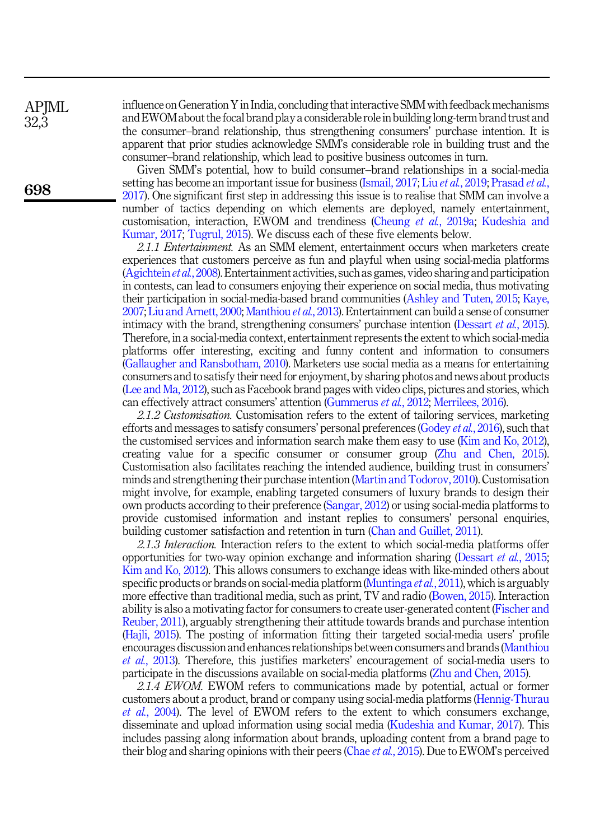influence onGeneration Y in India, concluding that interactive SMM with feedback mechanisms and EWOM about the focal brand play a considerable role in building long-term brand trust and the consumer–brand relationship, thus strengthening consumers' purchase intention. It is apparent that prior studies acknowledge SMM's considerable role in building trust and the consumer–brand relationship, which lead to positive business outcomes in turn.

Given SMM's potential, how to build consumer–brand relationships in a social-media setting has become an important issue for business ([Ismail, 2017](#page-20-8); Liu et al.[, 2019](#page-22-4); [Prasad](#page-23-7) et al., [2017\)](#page-23-7). One significant first step in addressing this issue is to realise that SMM can involve a number of tactics depending on which elements are deployed, namely entertainment, customisation, interaction, EWOM and trendiness [\(Cheung](#page-18-6) et al., 2019a; [Kudeshia and](#page-21-7) [Kumar, 2017;](#page-21-7) [Tugrul, 2015\)](#page-24-10). We discuss each of these five elements below.

2.1.1 Entertainment. As an SMM element, entertainment occurs when marketers create experiences that customers perceive as fun and playful when using social-media platforms ([Agichtein](#page-16-4) et al., 2008). Entertainment activities, such as games, video sharing and participation in contests, can lead to consumers enjoying their experience on social media, thus motivating their participation in social-media-based brand communities [\(Ashley and Tuten, 2015](#page-16-1); [Kaye,](#page-21-8) [2007;](#page-21-8) [Liu and Arnett, 2000;](#page-22-5) [Manthiou](#page-22-6) et al., 2013). Entertainment can build a sense of consumer intimacy with the brand, strengthening consumers' purchase intention [\(Dessart](#page-18-0) et al., 2015). Therefore, in a social-media context, entertainment represents the extent to which social-media platforms offer interesting, exciting and funny content and information to consumers ([Gallaugher and Ransbotham, 2010](#page-19-5)). Marketers use social media as a means for entertaining consumers and to satisfy their need for enjoyment, by sharing photos and news about products ([Lee and Ma, 2012](#page-22-7)), such as Facebook brand pages with video clips, pictures and stories, which can effectively attract consumers' attention ([Gummerus](#page-19-6) et al., 2012; [Merrilees, 2016\)](#page-22-8).

2.1.2 Customisation. Customisation refers to the extent of tailoring services, marketing efforts and messages to satisfy consumers' personal preferences ([Godey](#page-19-7) et al., 2016), such that the customised services and information search make them easy to use [\(Kim and Ko, 2012\)](#page-21-9), creating value for a specific consumer or consumer group ([Zhu and Chen, 2015\)](#page-25-4). Customisation also facilitates reaching the intended audience, building trust in consumers' minds and strengthening their purchase intention ([Martin and Todorov, 2010\)](#page-22-9). Customisation might involve, for example, enabling targeted consumers of luxury brands to design their own products according to their preference ([Sangar, 2012](#page-23-8)) or using social-media platforms to provide customised information and instant replies to consumers' personal enquiries, building customer satisfaction and retention in turn ([Chan and Guillet, 2011](#page-17-6)).

2.1.3 Interaction. Interaction refers to the extent to which social-media platforms offer opportunities for two-way opinion exchange and information sharing ([Dessart](#page-18-0) et al., 2015; [Kim and Ko, 2012](#page-21-9)). This allows consumers to exchange ideas with like-minded others about specific products or brands on social-media platform ([Muntinga](#page-22-10) *et al.*, 2011), which is arguably more effective than traditional media, such as print, TV and radio [\(Bowen, 2015\)](#page-17-5). Interaction ability is also a motivating factor for consumers to create user-generated content [\(Fischer and](#page-19-8) [Reuber, 2011\)](#page-19-8), arguably strengthening their attitude towards brands and purchase intention ([Hajli, 2015\)](#page-19-9). The posting of information fitting their targeted social-media users' profile encourages discussion and enhances relationships between consumers and brands [\(Manthiou](#page-22-6) et al.[, 2013\)](#page-22-6). Therefore, this justifies marketers' encouragement of social-media users to participate in the discussions available on social-media platforms ([Zhu and Chen, 2015\)](#page-25-4).

2.1.4 EWOM. EWOM refers to communications made by potential, actual or former customers about a product, brand or company using social-media platforms [\(Hennig-Thurau](#page-20-10) et al.[, 2004\)](#page-20-10). The level of EWOM refers to the extent to which consumers exchange, disseminate and upload information using social media [\(Kudeshia and Kumar, 2017](#page-21-7)). This includes passing along information about brands, uploading content from a brand page to their blog and sharing opinions with their peers (Chae *et al.*[, 2015\)](#page-17-7). Due to EWOM's perceived

APJML 32,3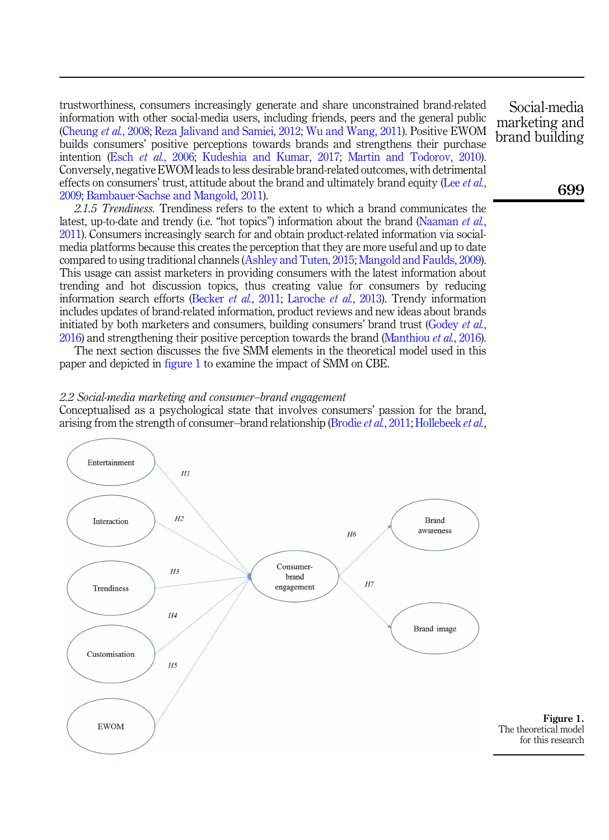trustworthiness, consumers increasingly generate and share unconstrained brand-related information with other social-media users, including friends, peers and the general public ([Cheung](#page-17-8) et al., 2008; [Reza Jalivand and Samiei, 2012;](#page-23-9) [Wu and Wang, 2011\)](#page-25-5). Positive EWOM builds consumers' positive perceptions towards brands and strengthens their purchase intention (Esch et al.[, 2006](#page-19-10); [Kudeshia and Kumar, 2017](#page-21-7); [Martin and Todorov, 2010\)](#page-22-9). Conversely, negative EWOM leads to less desirable brand-related outcomes, with detrimental effects on consumers' trust, attitude about the brand and ultimately brand equity (Lee  $et al$ , [2009;](#page-22-11) [Bambauer-Sachse and Mangold, 2011](#page-16-5)).

2.1.5 Trendiness. Trendiness refers to the extent to which a brand communicates the latest, up-to-date and trendy (i.e. "hot topics") information about the brand ([Naaman](#page-22-12) et al., [2011\)](#page-22-12). Consumers increasingly search for and obtain product-related information via socialmedia platforms because this creates the perception that they are more useful and up to date compared to using traditional channels [\(Ashley and Tuten, 2015](#page-16-1); [Mangold and Faulds, 2009\)](#page-22-3). This usage can assist marketers in providing consumers with the latest information about trending and hot discussion topics, thus creating value for consumers by reducing information search efforts ([Becker](#page-17-9) *et al.*, 2011; [Laroche](#page-22-13) *et al.*, 2013). Trendy information includes updates of brand-related information, product reviews and new ideas about brands initiated by both marketers and consumers, building consumers' brand trust [\(Godey](#page-19-7) et al., [2016\)](#page-19-7) and strengthening their positive perception towards the brand ([Manthiou](#page-22-14) et al., 2016).

The next section discusses the five SMM elements in the theoretical model used in this paper and depicted in figure 1 to examine the impact of SMM on CBE.

#### 2.2 Social-media marketing and consumer–brand engagement

Conceptualised as a psychological state that involves consumers' passion for the brand, arising from the strength of consumer–brand relationship [\(Brodie](#page-17-1) et al., 2011; [Hollebeek](#page-20-2) et al.,



Social-media marketing and brand building

699

Figure 1.

for this research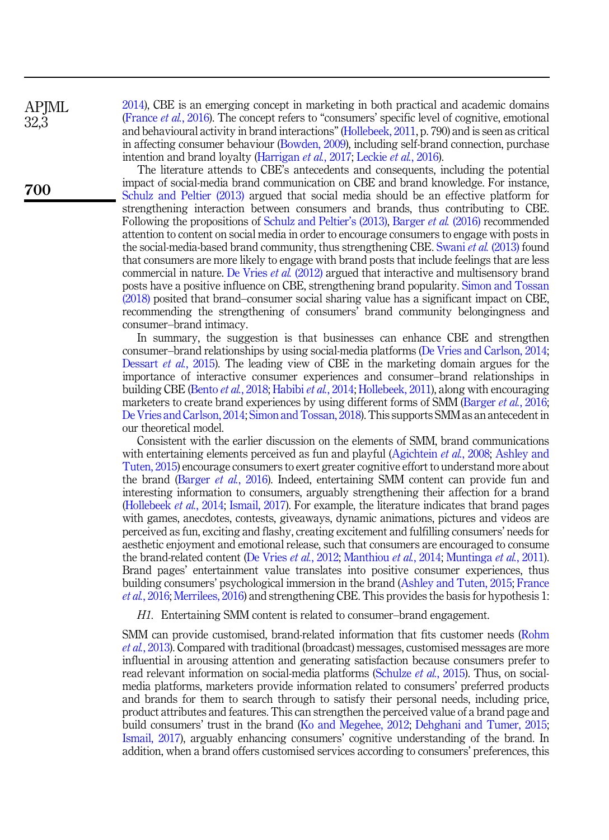APIML 32,3

700

[2014\)](#page-20-2), CBE is an emerging concept in marketing in both practical and academic domains ([France](#page-19-11) et al., 2016). The concept refers to "consumers' specific level of cognitive, emotional and behavioural activity in brand interactions"[\(Hollebeek, 2011,](#page-20-3) p. 790) and is seen as critical in affecting consumer behaviour [\(Bowden, 2009](#page-17-0)), including self-brand connection, purchase intention and brand loyalty ([Harrigan](#page-20-7) et al., 2017; [Leckie](#page-22-15) et al., 2016).

The literature attends to CBE's antecedents and consequents, including the potential impact of social-media brand communication on CBE and brand knowledge. For instance, [Schulz and Peltier \(2013\)](#page-23-1) argued that social media should be an effective platform for strengthening interaction between consumers and brands, thus contributing to CBE. Following the propositions of [Schulz and Peltier](#page-23-1)'s (2013), [Barger](#page-16-2) et al. (2016) recommended attention to content on social media in order to encourage consumers to engage with posts in the social-media-based brand community, thus strengthening CBE. [Swani](#page-24-11) et al. (2013) found that consumers are more likely to engage with brand posts that include feelings that are less commercial in nature. [De Vries](#page-18-7) et al. (2012) argued that interactive and multisensory brand posts have a positive influence on CBE, strengthening brand popularity. [Simon and Tossan](#page-24-12) [\(2018\)](#page-24-12) posited that brand–consumer social sharing value has a significant impact on CBE, recommending the strengthening of consumers' brand community belongingness and consumer–brand intimacy.

In summary, the suggestion is that businesses can enhance CBE and strengthen consumer–brand relationships by using social-media platforms ([De Vries and Carlson, 2014](#page-18-4); [Dessart](#page-18-0) et al., 2015). The leading view of CBE in the marketing domain argues for the importance of interactive consumer experiences and consumer–brand relationships in building CBE ([Bento](#page-17-10) et al., 2018; [Habibi](#page-19-12) et al., 2014; [Hollebeek, 2011](#page-20-3)), along with encouraging marketers to create brand experiences by using different forms of SMM ([Barger](#page-16-2) et al., 2016; [De Vries and Carlson, 2014;](#page-18-4) [Simon and Tossan, 2018](#page-24-12)). This supports SMM as an antecedent in our theoretical model.

Consistent with the earlier discussion on the elements of SMM, brand communications with entertaining elements perceived as fun and playful [\(Agichtein](#page-16-4) *et al.*, 2008; [Ashley and](#page-16-1) [Tuten, 2015\)](#page-16-1) encourage consumers to exert greater cognitive effort to understand more about the brand [\(Barger](#page-16-2) et al., 2016). Indeed, entertaining SMM content can provide fun and interesting information to consumers, arguably strengthening their affection for a brand ([Hollebeek](#page-20-2) et al., 2014; [Ismail, 2017\)](#page-20-8). For example, the literature indicates that brand pages with games, anecdotes, contests, giveaways, dynamic animations, pictures and videos are perceived as fun, exciting and flashy, creating excitement and fulfilling consumers' needs for aesthetic enjoyment and emotional release, such that consumers are encouraged to consume the brand-related content ([De Vries](#page-18-7) et al., 2012; [Manthiou](#page-22-16) et al., 2014; [Muntinga](#page-22-10) et al., 2011). Brand pages' entertainment value translates into positive consumer experiences, thus building consumers' psychological immersion in the brand ([Ashley and Tuten, 2015;](#page-16-1) [France](#page-19-11) et al.[, 2016](#page-19-11); [Merrilees, 2016\)](#page-22-8) and strengthening CBE. This provides the basis for hypothesis 1:

<span id="page-5-0"></span>H1. Entertaining SMM content is related to consumer–brand engagement.

SMM can provide customised, brand-related information that fits customer needs [\(Rohm](#page-23-4) et al.[, 2013\)](#page-23-4). Compared with traditional (broadcast) messages, customised messages are more influential in arousing attention and generating satisfaction because consumers prefer to read relevant information on social-media platforms [\(Schulze](#page-23-10) *et al.*, 2015). Thus, on socialmedia platforms, marketers provide information related to consumers' preferred products and brands for them to search through to satisfy their personal needs, including price, product attributes and features. This can strengthen the perceived value of a brand page and build consumers' trust in the brand ([Ko and Megehee, 2012;](#page-21-10) [Dehghani and Tumer, 2015](#page-18-8); [Ismail, 2017](#page-20-8)), arguably enhancing consumers' cognitive understanding of the brand. In addition, when a brand offers customised services according to consumers' preferences, this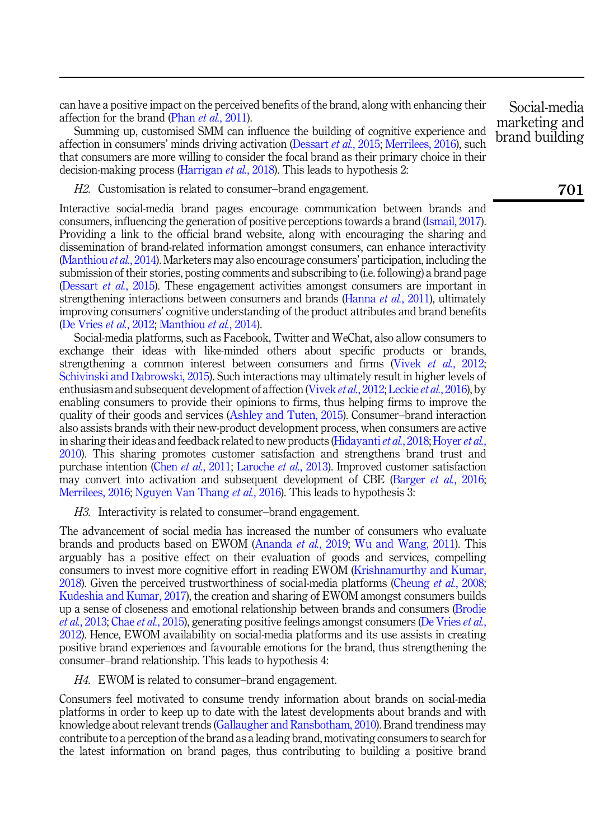can have a positive impact on the perceived benefits of the brand, along with enhancing their affection for the brand (Phan *et al.*[, 2011](#page-23-5)).

Summing up, customised SMM can influence the building of cognitive experience and affection in consumers' minds driving activation [\(Dessart](#page-18-0) *et al.*, 2015; [Merrilees, 2016\)](#page-22-8), such that consumers are more willing to consider the focal brand as their primary choice in their decision-making process [\(Harrigan](#page-20-11) *et al.*, 2018). This leads to hypothesis 2:

<span id="page-6-2"></span>H2. Customisation is related to consumer–brand engagement.

Interactive social-media brand pages encourage communication between brands and consumers, influencing the generation of positive perceptions towards a brand [\(Ismail, 2017\)](#page-20-8). Providing a link to the official brand website, along with encouraging the sharing and dissemination of brand-related information amongst consumers, can enhance interactivity ([Manthiou](#page-22-16) *et al.*, 2014). Marketers may also encourage consumers' participation, including the submission of their stories, posting comments and subscribing to (i.e. following) a brand page ([Dessart](#page-18-0) et al., 2015). These engagement activities amongst consumers are important in strengthening interactions between consumers and brands ([Hanna](#page-20-12) *et al.*, 2011), ultimately improving consumers' cognitive understanding of the product attributes and brand benefits ([De Vries](#page-18-7) et al., 2012; [Manthiou](#page-22-16) et al., 2014).

Social-media platforms, such as Facebook, Twitter and WeChat, also allow consumers to exchange their ideas with like-minded others about specific products or brands, strengthening a common interest between consumers and firms (Vivek *et al.*[, 2012](#page-24-1); [Schivinski and Dabrowski, 2015\)](#page-23-11). Such interactions may ultimately result in higher levels of enthusiasm and subsequent development of affection ([Vivek](#page-24-1) et al., 2012; [Leckie](#page-22-15) et al., 2016), by enabling consumers to provide their opinions to firms, thus helping firms to improve the quality of their goods and services [\(Ashley and Tuten, 2015\)](#page-16-1). Consumer–brand interaction also assists brands with their new-product development process, when consumers are active in sharing their ideas and feedback related to new products ([Hidayanti](#page-20-13)  $et al$ , 2018; [Hoyer](#page-20-14)  $et al$ , [2010\)](#page-20-14). This sharing promotes customer satisfaction and strengthens brand trust and purchase intention (Chen et al.[, 2011](#page-17-11); [Laroche](#page-22-13) et al., 2013). Improved customer satisfaction may convert into activation and subsequent development of CBE [\(Barger](#page-16-2) et al., 2016; [Merrilees, 2016](#page-22-8); [Nguyen Van Thang](#page-23-12) *et al.*, 2016). This leads to hypothesis 3:

<span id="page-6-0"></span>H3. Interactivity is related to consumer–brand engagement.

The advancement of social media has increased the number of consumers who evaluate brands and products based on EWOM [\(Ananda](#page-16-6) *et al.*, 2019; [Wu and Wang, 2011\)](#page-25-5). This arguably has a positive effect on their evaluation of goods and services, compelling consumers to invest more cognitive effort in reading EWOM ([Krishnamurthy and Kumar,](#page-21-11) [2018\)](#page-21-11). Given the perceived trustworthiness of social-media platforms [\(Cheung](#page-17-8) et al., 2008; [Kudeshia and Kumar, 2017\)](#page-21-7), the creation and sharing of EWOM amongst consumers builds up a sense of closeness and emotional relationship between brands and consumers ([Brodie](#page-17-2) et al.[, 2013;](#page-17-2) Chae et al.[, 2015](#page-17-7)), generating positive feelings amongst consumers [\(De Vries](#page-18-7) et al., [2012\)](#page-18-7). Hence, EWOM availability on social-media platforms and its use assists in creating positive brand experiences and favourable emotions for the brand, thus strengthening the consumer–brand relationship. This leads to hypothesis 4:

<span id="page-6-1"></span>H4. EWOM is related to consumer–brand engagement.

Consumers feel motivated to consume trendy information about brands on social-media platforms in order to keep up to date with the latest developments about brands and with knowledge about relevant trends ([Gallaugher and Ransbotham, 2010\)](#page-19-5). Brand trendiness may contribute to a perception of the brand as a leading brand, motivating consumers to search for the latest information on brand pages, thus contributing to building a positive brand

Social-media marketing and brand building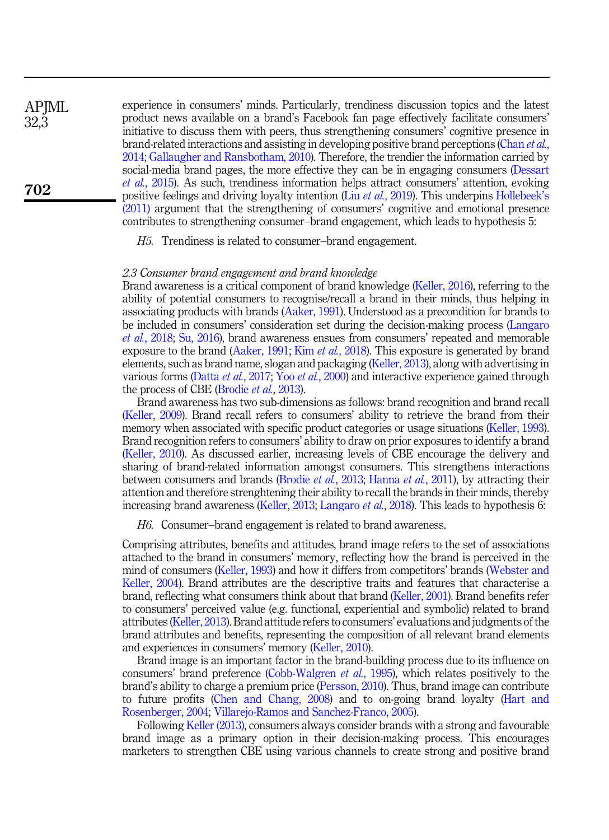experience in consumers' minds. Particularly, trendiness discussion topics and the latest product news available on a brand's Facebook fan page effectively facilitate consumers' initiative to discuss them with peers, thus strengthening consumers' cognitive presence in brand-related interactions and assisting in developing positive brand perceptions [\(Chan](#page-17-12) et al., [2014;](#page-17-12) [Gallaugher and Ransbotham, 2010\)](#page-19-5). Therefore, the trendier the information carried by social-media brand pages, the more effective they can be in engaging consumers [\(Dessart](#page-18-0) et al.[, 2015\)](#page-18-0). As such, trendiness information helps attract consumers' attention, evoking positive feelings and driving loyalty intention (Liu *et al.*[, 2019](#page-22-4)). This underpins [Hollebeek](#page-20-3)'s [\(2011\)](#page-20-3) argument that the strengthening of consumers' cognitive and emotional presence contributes to strengthening consumer–brand engagement, which leads to hypothesis 5:

<span id="page-7-0"></span>H5. Trendiness is related to consumer–brand engagement.

# 2.3 Consumer brand engagement and brand knowledge

Brand awareness is a critical component of brand knowledge [\(Keller, 2016\)](#page-21-4), referring to the ability of potential consumers to recognise/recall a brand in their minds, thus helping in associating products with brands [\(Aaker, 1991\)](#page-16-7). Understood as a precondition for brands to be included in consumers' consideration set during the decision-making process ([Langaro](#page-21-2) et al.[, 2018](#page-21-2); [Su, 2016\)](#page-24-13), brand awareness ensues from consumers' repeated and memorable exposure to the brand [\(Aaker, 1991](#page-16-7); Kim et al.[, 2018\)](#page-21-12). This exposure is generated by brand elements, such as brand name, slogan and packaging [\(Keller, 2013](#page-21-6)), along with advertising in various forms (Datta et al.[, 2017](#page-18-9); Yoo et al.[, 2000](#page-25-6)) and interactive experience gained through the process of CBE [\(Brodie](#page-17-2) *et al.*, 2013).

Brand awareness has two sub-dimensions as follows: brand recognition and brand recall ([Keller, 2009](#page-21-1)). Brand recall refers to consumers' ability to retrieve the brand from their memory when associated with specific product categories or usage situations ([Keller, 1993\)](#page-21-13). Brand recognition refers to consumers' ability to draw on prior exposures to identify a brand ([Keller, 2010](#page-21-14)). As discussed earlier, increasing levels of CBE encourage the delivery and sharing of brand-related information amongst consumers. This strengthens interactions between consumers and brands [\(Brodie](#page-17-2) et al., 2013; [Hanna](#page-20-12) et al., 2011), by attracting their attention and therefore strenghtening their ability to recall the brands in their minds, thereby increasing brand awareness ([Keller, 2013](#page-21-6); [Langaro](#page-21-2) *et al.*, 2018). This leads to hypothesis 6:

<span id="page-7-1"></span>H6. Consumer–brand engagement is related to brand awareness.

Comprising attributes, benefits and attitudes, brand image refers to the set of associations attached to the brand in consumers' memory, reflecting how the brand is perceived in the mind of consumers [\(Keller, 1993\)](#page-21-13) and how it differs from competitors' brands [\(Webster and](#page-25-7) [Keller, 2004\)](#page-25-7). Brand attributes are the descriptive traits and features that characterise a brand, reflecting what consumers think about that brand ([Keller, 2001\)](#page-21-15). Brand benefits refer to consumers' perceived value (e.g. functional, experiential and symbolic) related to brand attributes ([Keller, 2013](#page-21-6)). Brand attitude refers to consumers' evaluations and judgments of the brand attributes and benefits, representing the composition of all relevant brand elements and experiences in consumers' memory ([Keller, 2010](#page-21-14)).

Brand image is an important factor in the brand-building process due to its influence on consumers' brand preference [\(Cobb-Walgren](#page-18-10) *et al.*, 1995), which relates positively to the brand's ability to charge a premium price [\(Persson, 2010\)](#page-23-13). Thus, brand image can contribute to future profits [\(Chen and Chang, 2008](#page-17-13)) and to on-going brand loyalty [\(Hart and](#page-20-15) [Rosenberger, 2004](#page-20-15); [Villarejo-Ramos and Sanchez-Franco, 2005](#page-24-14)).

Following [Keller \(2013\),](#page-21-6) consumers always consider brands with a strong and favourable brand image as a primary option in their decision-making process. This encourages marketers to strengthen CBE using various channels to create strong and positive brand

**APIML** 32,3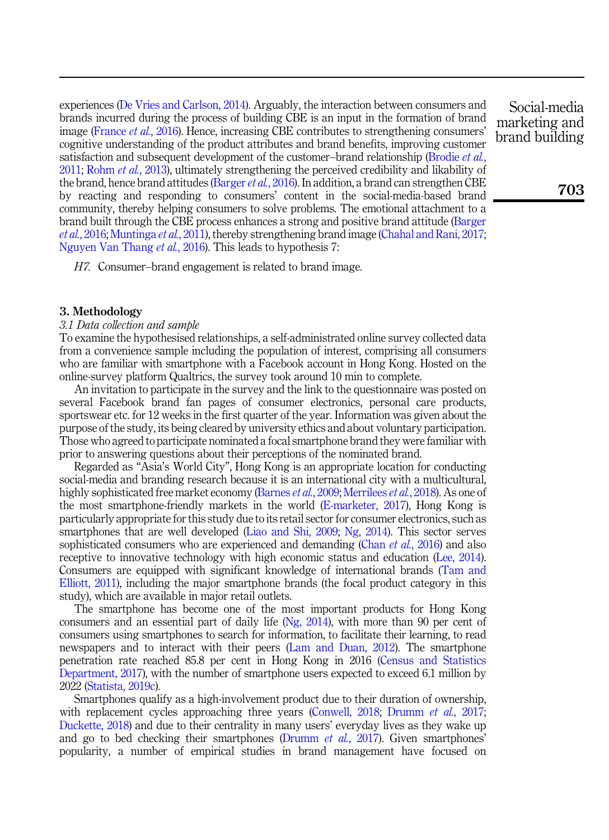experiences ([De Vries and Carlson, 2014\)](#page-18-4). Arguably, the interaction between consumers and brands incurred during the process of building CBE is an input in the formation of brand image [\(France](#page-19-11) et al., 2016). Hence, increasing CBE contributes to strengthening consumers' cognitive understanding of the product attributes and brand benefits, improving customer satisfaction and subsequent development of the customer–brand relationship [\(Brodie](#page-17-1) et al., [2011;](#page-17-1) [Rohm](#page-23-4) *et al.*, 2013), ultimately strengthening the perceived credibility and likability of the brand, hence brand attitudes [\(Barger](#page-16-2) *et al.*, 2016). In addition, a brand can strengthen CBE by reacting and responding to consumers' content in the social-media-based brand community, thereby helping consumers to solve problems. The emotional attachment to a brand built through the CBE process enhances a strong and positive brand attitude ([Barger](#page-16-2) et al.[, 2016](#page-16-2); [Muntinga](#page-22-10) et al., 2011), thereby strengthening brand image [\(Chahal and Rani, 2017](#page-17-14); [Nguyen Van Thang](#page-23-12) et al., 2016). This leads to hypothesis 7:

<span id="page-8-0"></span>H7. Consumer–brand engagement is related to brand image.

# 3. Methodology

# 3.1 Data collection and sample

To examine the hypothesised relationships, a self-administrated online survey collected data from a convenience sample including the population of interest, comprising all consumers who are familiar with smartphone with a Facebook account in Hong Kong. Hosted on the online-survey platform Qualtrics, the survey took around 10 min to complete.

An invitation to participate in the survey and the link to the questionnaire was posted on several Facebook brand fan pages of consumer electronics, personal care products, sportswear etc. for 12 weeks in the first quarter of the year. Information was given about the purpose of the study, its being cleared by university ethics and about voluntary participation. Those who agreed to participate nominated a focal smartphone brand they were familiar with prior to answering questions about their perceptions of the nominated brand.

Regarded as "Asia's World City", Hong Kong is an appropriate location for conducting social-media and branding research because it is an international city with a multicultural, highly sophisticated free market economy ([Barnes](#page-17-15) *et al.*, 2009; [Merrilees](#page-22-17) *et al.*, 2018). As one of the most smartphone-friendly markets in the world [\(E-marketer, 2017\)](#page-19-13), Hong Kong is particularly appropriate for this study due to its retail sector for consumer electronics, such as smartphones that are well developed ([Liao and Shi, 2009;](#page-22-18) [Ng, 2014](#page-23-14)). This sector serves sophisticated consumers who are experienced and demanding (Chan *et al.*[, 2016](#page-17-16)) and also receptive to innovative technology with high economic status and education [\(Lee, 2014\)](#page-22-19). Consumers are equipped with significant knowledge of international brands ([Tam and](#page-24-15) [Elliott, 2011\)](#page-24-15), including the major smartphone brands (the focal product category in this study), which are available in major retail outlets.

The smartphone has become one of the most important products for Hong Kong consumers and an essential part of daily life [\(Ng, 2014\)](#page-23-14), with more than 90 per cent of consumers using smartphones to search for information, to facilitate their learning, to read newspapers and to interact with their peers [\(Lam and Duan, 2012\)](#page-21-16). The smartphone penetration rate reached 85.8 per cent in Hong Kong in 2016 [\(Census and Statistics](#page-17-17) [Department, 2017](#page-17-17)), with the number of smartphone users expected to exceed 6.1 million by 2022 ([Statista, 2019c\)](#page-24-16).

Smartphones qualify as a high-involvement product due to their duration of ownership, with replacement cycles approaching three years ([Conwell, 2018;](#page-18-11) [Drumm](#page-19-14) *et al.*, 2017; [Duckette, 2018](#page-19-15)) and due to their centrality in many users' everyday lives as they wake up and go to bed checking their smartphones [\(Drumm](#page-19-14) *et al.*, 2017). Given smartphones' popularity, a number of empirical studies in brand management have focused on

Social-media marketing and brand building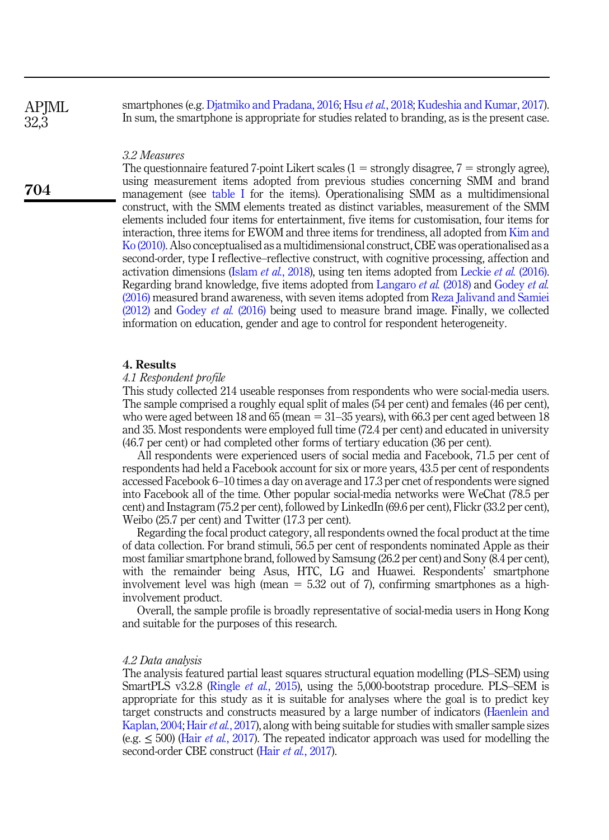**APIML** 32,3

704

smartphones (e.g. [Djatmiko and Pradana, 2016;](#page-18-12) Hsu et al.[, 2018;](#page-20-16) [Kudeshia and Kumar, 2017\)](#page-21-7). In sum, the smartphone is appropriate for studies related to branding, as is the present case.

#### 3.2 Measures

The questionnaire featured 7-point Likert scales  $(1 =$  strongly disagree,  $7 =$  strongly agree), using measurement items adopted from previous studies concerning SMM and brand management (see [table I](#page-10-0) for the items). Operationalising SMM as a multidimensional construct, with the SMM elements treated as distinct variables, measurement of the SMM elements included four items for entertainment, five items for customisation, four items for interaction, three items for EWOM and three items for trendiness, all adopted from [Kim and](#page-21-17) [Ko \(2010\).](#page-21-17) Also conceptualised as a multidimensional construct, CBE was operationalised as a second-order, type I reflective–reflective construct, with cognitive processing, affection and activation dimensions (Islam et al.[, 2018](#page-20-17)), using ten items adopted from [Leckie](#page-22-15) et al. (2016). Regarding brand knowledge, five items adopted from [Langaro](#page-21-2) et al. (2018) and [Godey](#page-19-7) et al. [\(2016\)](#page-19-7) measured brand awareness, with seven items adopted from [Reza Jalivand and Samiei](#page-23-9) [\(2012\)](#page-23-9) and [Godey](#page-19-7) et al. (2016) being used to measure brand image. Finally, we collected information on education, gender and age to control for respondent heterogeneity.

# 4. Results

#### 4.1 Respondent profile

This study collected 214 useable responses from respondents who were social-media users. The sample comprised a roughly equal split of males (54 per cent) and females (46 per cent), who were aged between 18 and 65 (mean  $= 31$ –35 years), with 66.3 per cent aged between 18 and 35. Most respondents were employed full time (72.4 per cent) and educated in university (46.7 per cent) or had completed other forms of tertiary education (36 per cent).

All respondents were experienced users of social media and Facebook, 71.5 per cent of respondents had held a Facebook account for six or more years, 43.5 per cent of respondents accessed Facebook 6–10 times a day on average and 17.3 per cnet of respondents were signed into Facebook all of the time. Other popular social-media networks were WeChat (78.5 per cent) and Instagram (75.2 per cent), followed by LinkedIn (69.6 per cent), Flickr (33.2 per cent), Weibo (25.7 per cent) and Twitter (17.3 per cent).

Regarding the focal product category, all respondents owned the focal product at the time of data collection. For brand stimuli, 56.5 per cent of respondents nominated Apple as their most familiar smartphone brand, followed by Samsung (26.2 per cent) and Sony (8.4 per cent), with the remainder being Asus, HTC, LG and Huawei. Respondents' smartphone involvement level was high (mean  $= 5.32$  out of 7), confirming smartphones as a highinvolvement product.

Overall, the sample profile is broadly representative of social-media users in Hong Kong and suitable for the purposes of this research.

#### 4.2 Data analysis

The analysis featured partial least squares structural equation modelling (PLS–SEM) using SmartPLS v3.2.8 [\(Ringle](#page-23-15) *et al.*, 2015), using the 5,000-bootstrap procedure. PLS–SEM is appropriate for this study as it is suitable for analyses where the goal is to predict key target constructs and constructs measured by a large number of indicators ([Haenlein and](#page-19-16) [Kaplan, 2004;](#page-19-16) Hair *et al.*[, 2017](#page-19-17)), along with being suitable for studies with smaller sample sizes (e.g.  $\leq$  500) (Hair *et al.*[, 2017](#page-19-17)). The repeated indicator approach was used for modelling the second-order CBE construct (Hair et al.[, 2017\)](#page-19-17).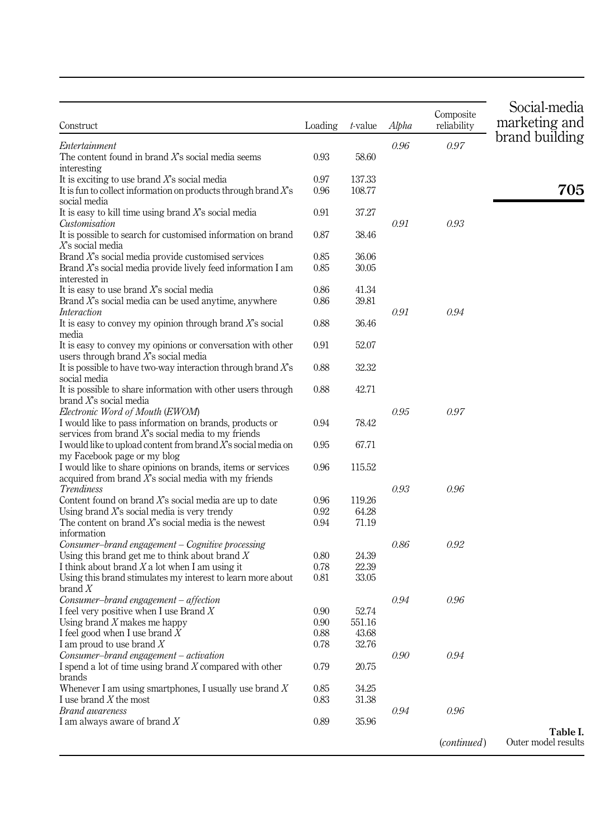<span id="page-10-0"></span>

| Construct                                                                                  | Loading | t-value | Alpha | Composite<br>reliability | Social-media<br>marketing and |
|--------------------------------------------------------------------------------------------|---------|---------|-------|--------------------------|-------------------------------|
| Entertainment                                                                              |         |         | 0.96  | 0.97                     | brand building                |
| The content found in brand $X$ s social media seems                                        | 0.93    | 58.60   |       |                          |                               |
| interesting                                                                                |         |         |       |                          |                               |
| It is exciting to use brand $X$ 's social media                                            | 0.97    | 137.33  |       |                          |                               |
| It is fun to collect information on products through brand $X$ 's                          | 0.96    | 108.77  |       |                          | 705                           |
| social media                                                                               |         |         |       |                          |                               |
| It is easy to kill time using brand $X$ 's social media                                    | 0.91    | 37.27   |       |                          |                               |
| Customisation                                                                              |         |         | 0.91  | 0.93                     |                               |
| It is possible to search for customised information on brand<br>$X$ s social media         | 0.87    | 38.46   |       |                          |                               |
| Brand $X$ 's social media provide customised services                                      | 0.85    | 36.06   |       |                          |                               |
| Brand $X$ 's social media provide lively feed information I am                             | 0.85    | 30.05   |       |                          |                               |
| interested in                                                                              |         |         |       |                          |                               |
| It is easy to use brand $X$ s social media                                                 | 0.86    | 41.34   |       |                          |                               |
| Brand $X$ 's social media can be used anytime, anywhere                                    | 0.86    | 39.81   |       |                          |                               |
| Interaction                                                                                |         |         | 0.91  | 0.94                     |                               |
| It is easy to convey my opinion through brand $X$ 's social                                | 0.88    | 36.46   |       |                          |                               |
| media                                                                                      |         |         |       |                          |                               |
| It is easy to convey my opinions or conversation with other                                | 0.91    | 52.07   |       |                          |                               |
| users through brand $X$ 's social media                                                    |         |         |       |                          |                               |
| It is possible to have two-way interaction through brand $X$ 's                            | 0.88    | 32.32   |       |                          |                               |
| social media                                                                               |         |         |       |                          |                               |
| It is possible to share information with other users through                               | 0.88    | 42.71   |       |                          |                               |
| brand $X$ s social media                                                                   |         |         |       |                          |                               |
| Electronic Word of Mouth (EWOM)                                                            |         |         | 0.95  | 0.97                     |                               |
| I would like to pass information on brands, products or                                    | 0.94    | 78.42   |       |                          |                               |
| services from brand $X$ s social media to my friends                                       |         |         |       |                          |                               |
| I would like to upload content from brand $X$ 's social media on                           | 0.95    | 67.71   |       |                          |                               |
| my Facebook page or my blog<br>I would like to share opinions on brands, items or services | 0.96    | 115.52  |       |                          |                               |
| acquired from brand $X$ s social media with my friends                                     |         |         |       |                          |                               |
| Trendiness                                                                                 |         |         | 0.93  | 0.96                     |                               |
| Content found on brand $X$ s social media are up to date                                   | 0.96    | 119.26  |       |                          |                               |
| Using brand $X$ s social media is very trendy                                              | 0.92    | 64.28   |       |                          |                               |
| The content on brand $X$ s social media is the newest                                      | 0.94    | 71.19   |       |                          |                               |
| information                                                                                |         |         |       |                          |                               |
| Consumer-brand engagement – Cognitive processing                                           |         |         | 0.86  | 0.92                     |                               |
| Using this brand get me to think about brand $X$                                           | 0.80    | 24.39   |       |                          |                               |
| I think about brand $X$ a lot when I am using it                                           | 0.78    | 22.39   |       |                          |                               |
| Using this brand stimulates my interest to learn more about                                | 0.81    | 33.05   |       |                          |                               |
| brand X                                                                                    |         |         |       |                          |                               |
| Consumer-brand engagement – affection                                                      |         |         | 0.94  | 0.96                     |                               |
| I feel very positive when I use Brand $X$                                                  | 0.90    | 52.74   |       |                          |                               |
| Using brand $X$ makes me happy                                                             | 0.90    | 551.16  |       |                          |                               |
| I feel good when I use brand $X$                                                           | 0.88    | 43.68   |       |                          |                               |
| I am proud to use brand $X$                                                                | 0.78    | 32.76   |       |                          |                               |
| Consumer-brand engagement - activation                                                     |         |         | 0.90  | 0.94                     |                               |
| I spend a lot of time using brand $X$ compared with other                                  | 0.79    | 20.75   |       |                          |                               |
| brands<br>Whenever I am using smartphones, I usually use brand $X$                         | 0.85    | 34.25   |       |                          |                               |
| I use brand X the most                                                                     | 0.83    | 31.38   |       |                          |                               |
| Brand awareness                                                                            |         |         | 0.94  | 0.96                     |                               |
| I am always aware of brand $X$                                                             | 0.89    | 35.96   |       |                          |                               |
|                                                                                            |         |         |       |                          | Table I.                      |
|                                                                                            |         |         |       | ( <i>continued</i> )     | Outer model results           |
|                                                                                            |         |         |       |                          |                               |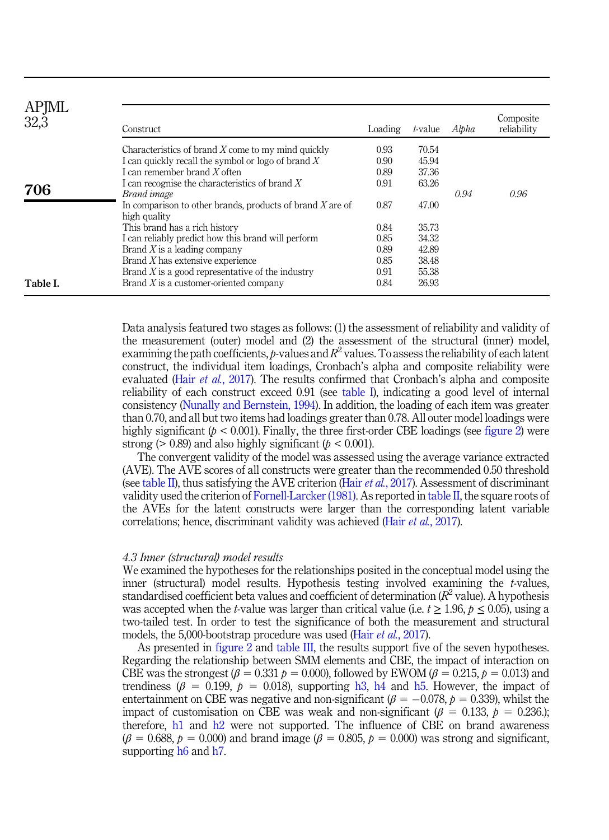| APJML<br>32,3 | Construct                                                                                                                                                                                          | Loading                      | t-value                          | Alpha | Composite<br>reliability |
|---------------|----------------------------------------------------------------------------------------------------------------------------------------------------------------------------------------------------|------------------------------|----------------------------------|-------|--------------------------|
| 706           | Characteristics of brand $X$ come to my mind quickly<br>I can quickly recall the symbol or logo of brand $X$<br>I can remember brand $X$ often<br>I can recognise the characteristics of brand $X$ | 0.93<br>0.90<br>0.89<br>0.91 | 70.54<br>45.94<br>37.36<br>63.26 |       |                          |
|               | Brand image<br>In comparison to other brands, products of brand $X$ are of<br>high quality                                                                                                         | 0.87                         | 47.00                            | 0.94  | 0.96                     |
|               | This brand has a rich history<br>I can reliably predict how this brand will perform                                                                                                                | 0.84<br>0.85                 | 35.73<br>34.32                   |       |                          |
|               | Brand $X$ is a leading company                                                                                                                                                                     | 0.89                         | 42.89                            |       |                          |
|               | Brand $X$ has extensive experience                                                                                                                                                                 | 0.85                         | 38.48                            |       |                          |
|               | Brand $X$ is a good representative of the industry                                                                                                                                                 | 0.91                         | 55.38                            |       |                          |
| Table I.      | Brand $X$ is a customer-oriented company                                                                                                                                                           | 0.84                         | 26.93                            |       |                          |

Data analysis featured two stages as follows: (1) the assessment of reliability and validity of the measurement (outer) model and (2) the assessment of the structural (inner) model, examining the path coefficients, p-values and  $R^2$  values. To assess the reliability of each latent construct, the individual item loadings, Cronbach's alpha and composite reliability were evaluated (Hair et al.[, 2017](#page-19-17)). The results confirmed that Cronbach's alpha and composite reliability of each construct exceed 0.91 (see [table I\)](#page-10-0), indicating a good level of internal consistency [\(Nunally and Bernstein, 1994\)](#page-23-16). In addition, the loading of each item was greater than 0.70, and all but two items had loadings greater than 0.78. All outer model loadings were highly significant ( $p < 0.001$ ). Finally, the three first-order CBE loadings (see [figure 2](#page-12-0)) were strong ( $> 0.89$ ) and also highly significant ( $p < 0.001$ ).

The convergent validity of the model was assessed using the average variance extracted (AVE). The AVE scores of all constructs were greater than the recommended 0.50 threshold (see [table II\)](#page-12-0), thus satisfying the AVE criterion (Hair *et al.*[, 2017](#page-19-17)). Assessment of discriminant validity used the criterion of [Fornell-Larcker \(1981\)](#page-19-18). As reported in [table II,](#page-12-0) the square roots of the AVEs for the latent constructs were larger than the corresponding latent variable correlations; hence, discriminant validity was achieved (Hair *et al.*[, 2017\)](#page-19-17).

#### 4.3 Inner (structural) model results

We examined the hypotheses for the relationships posited in the conceptual model using the inner (structural) model results. Hypothesis testing involved examining the  $t$ -values, standardised coefficient beta values and coefficient of determination  $(R^2$  value). A hypothesis was accepted when the t-value was larger than critical value (i.e.  $t \ge 1.96$ ,  $p \le 0.05$ ), using a two-tailed test. In order to test the significance of both the measurement and structural models, the 5,000-bootstrap procedure was used (Hair *et al.*[, 2017\)](#page-19-17).

As presented in [figure 2](#page-12-0) and [table III](#page-13-0), the results support five of the seven hypotheses. Regarding the relationship between SMM elements and CBE, the impact of interaction on CBE was the strongest  $(\beta = 0.331 \; p = 0.000)$ , followed by EWOM  $(\beta = 0.215, \; p = 0.013)$  and trendiness ( $\beta = 0.199$ ,  $p = 0.018$ ), supporting [h3](#page-6-0), [h4](#page-6-1) and [h5.](#page-7-0) However, the impact of entertainment on CBE was negative and non-significant ( $\beta = -0.078$ ,  $p = 0.339$ ), whilst the impact of customisation on CBE was weak and non-significant ( $\beta = 0.133$ ,  $p = 0.236$ .); therefore, [h1](#page-5-0) and [h2](#page-6-2) were not supported. The influence of CBE on brand awareness  $(\beta = 0.688, p = 0.000)$  and brand image ( $\beta = 0.805, p = 0.000$ ) was strong and significant, supporting [h6](#page-7-1) and [h7](#page-8-0).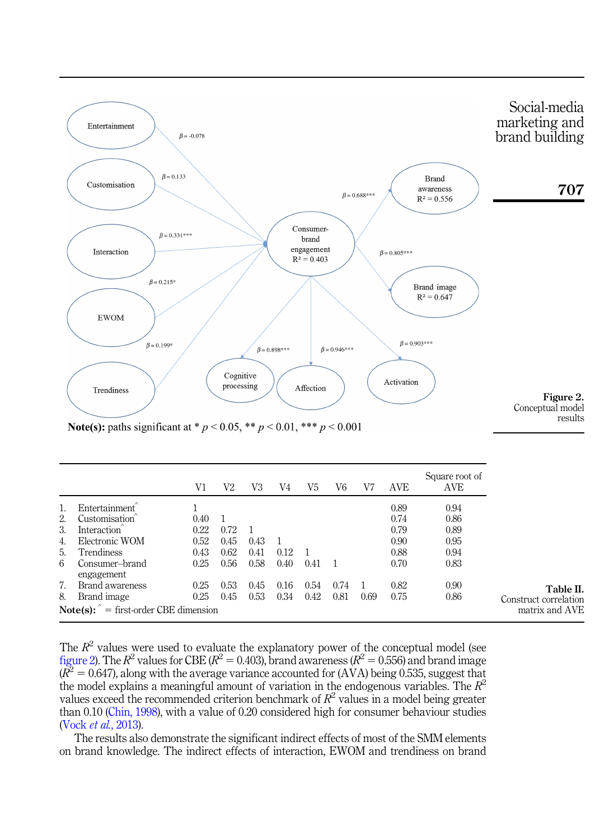<span id="page-12-0"></span>

**Note(s):** paths significant at \*  $p < 0.05$ , \*\*  $p < 0.01$ , \*\*\*  $p < 0.001$ 

|    |                                               | V1   | V2   | V3   | V4   | V5   | V6   | V7   | <b>AVE</b> | Square root of<br>AVE |                       |
|----|-----------------------------------------------|------|------|------|------|------|------|------|------------|-----------------------|-----------------------|
|    | Entertainment                                 |      |      |      |      |      |      |      | 0.89       | 0.94                  |                       |
| 2. | Customisation                                 | 0.40 |      |      |      |      |      |      | 0.74       | 0.86                  |                       |
| 3. | Interaction                                   | 0.22 | 0.72 |      |      |      |      |      | 0.79       | 0.89                  |                       |
| 4. | Electronic WOM                                | 0.52 | 0.45 | 0.43 |      |      |      |      | 0.90       | 0.95                  |                       |
| 5. | Trendiness                                    | 0.43 | 0.62 | 0.41 | 0.12 |      |      |      | 0.88       | 0.94                  |                       |
| 6  | Consumer-brand<br>engagement                  | 0.25 | 0.56 | 0.58 | 0.40 | 0.41 |      |      | 0.70       | 0.83                  |                       |
| 7. | Brand awareness                               | 0.25 | 0.53 | 0.45 | 0.16 | 0.54 | 0.74 |      | 0.82       | 0.90                  | Table II.             |
| 8. | Brand image                                   | 0.25 | 0.45 | 0.53 | 0.34 | 0.42 | 0.81 | 0.69 | 0.75       | 0.86                  | Construct correlation |
|    | $Note(s): \hat{}$ = first-order CBE dimension |      |      |      |      |      |      |      |            |                       | matrix and AVE        |

The  $R^2$  values were used to evaluate the explanatory power of the conceptual model (see figure 2). The  $R^2$  values for CBE ( $R^2 = 0.403$ ), brand awareness ( $R^2 = 0.556$ ) and brand image  $(R^2 = 0.647)$ , along with the average variance accounted for (AVA) being 0.535, suggest that the model explains a meaningful amount of variation in the endogenous variables. The  $R^2$ values exceed the recommended criterion benchmark of  $R^2$  values in a model being greater than 0.10 ([Chin, 1998\)](#page-18-13), with a value of 0.20 considered high for consumer behaviour studies (Vock et al.[, 2013](#page-24-17)).

The results also demonstrate the significant indirect effects of most of the SMM elements on brand knowledge. The indirect effects of interaction, EWOM and trendiness on brand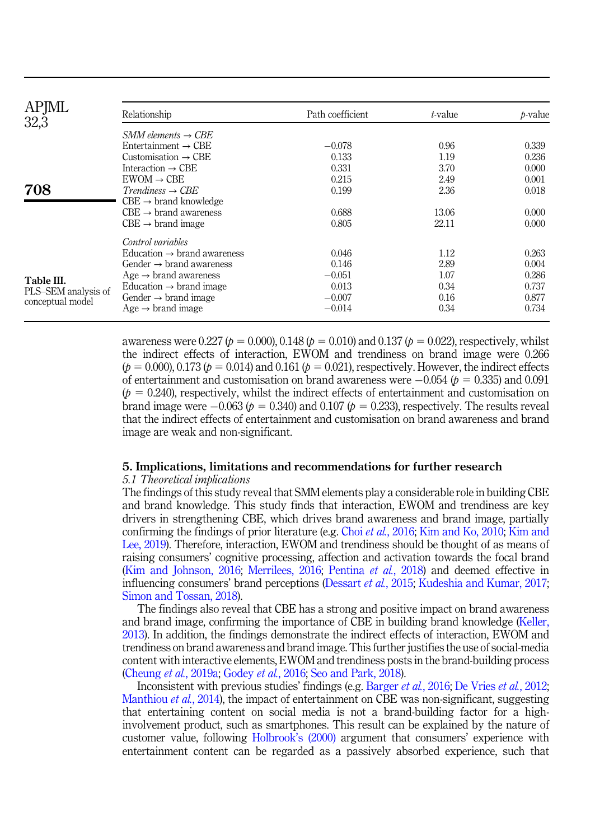<span id="page-13-0"></span>

| <b>APJML</b><br>32,3                    | Relationship                            | Path coefficient | t-value | <i>b</i> -value |
|-----------------------------------------|-----------------------------------------|------------------|---------|-----------------|
|                                         | $SMM$ elements $\rightarrow$ CBE        |                  |         |                 |
|                                         | Entertainment $\rightarrow$ CBE         | $-0.078$         | 0.96    | 0.339           |
|                                         | Customisation $\rightarrow$ CBE         | 0.133            | 1.19    | 0.236           |
|                                         | Interaction $\rightarrow$ CBE           | 0.331            | 3.70    | 0.000           |
|                                         | $EWOM \rightarrow CBE$                  | 0.215            | 2.49    | 0.001           |
| 708                                     | $Trendiness \rightarrow CBE$            | 0.199            | 2.36    | 0.018           |
|                                         | $CBE \rightarrow brand$ knowledge       |                  |         |                 |
|                                         | $CBE \rightarrow brand$ awareness       | 0.688            | 13.06   | 0.000           |
|                                         | $CBE \rightarrow brand \ image$         | 0.805            | 22.11   | 0.000           |
|                                         | Control variables                       |                  |         |                 |
|                                         | Education $\rightarrow$ brand awareness | 0.046            | 1.12    | 0.263           |
|                                         | Gender $\rightarrow$ brand awareness    | 0.146            | 2.89    | 0.004           |
| Table III.                              | Age $\rightarrow$ brand awareness       | $-0.051$         | 1.07    | 0.286           |
|                                         | Education $\rightarrow$ brand image     | 0.013            | 0.34    | 0.737           |
| PLS-SEM analysis of<br>conceptual model | Gender $\rightarrow$ brand image        | $-0.007$         | 0.16    | 0.877           |
|                                         | Age $\rightarrow$ brand image           | $-0.014$         | 0.34    | 0.734           |

awareness were 0.227 ( $p = 0.000$ ), 0.148 ( $p = 0.010$ ) and 0.137 ( $p = 0.022$ ), respectively, whilst the indirect effects of interaction, EWOM and trendiness on brand image were 0.266  $(p = 0.000)$ , 0.173  $(p = 0.014)$  and 0.161  $(p = 0.021)$ , respectively. However, the indirect effects of entertainment and customisation on brand awareness were  $-0.054$  ( $p = 0.335$ ) and 0.091  $(p = 0.240)$ , respectively, whilst the indirect effects of entertainment and customisation on brand image were  $-0.063$  ( $p = 0.340$ ) and 0.107 ( $p = 0.233$ ), respectively. The results reveal that the indirect effects of entertainment and customisation on brand awareness and brand image are weak and non-significant.

#### 5. Implications, limitations and recommendations for further research

#### 5.1 Theoretical implications

The findings of this study reveal that SMM elements play a considerable role in building CBE and brand knowledge. This study finds that interaction, EWOM and trendiness are key drivers in strengthening CBE, which drives brand awareness and brand image, partially confirming the findings of prior literature (e.g. Choi et al.[, 2016;](#page-18-14) [Kim and Ko, 2010](#page-21-17); [Kim and](#page-21-18) [Lee, 2019\)](#page-21-18). Therefore, interaction, EWOM and trendiness should be thought of as means of raising consumers' cognitive processing, affection and activation towards the focal brand ([Kim and Johnson, 2016;](#page-21-19) [Merrilees, 2016](#page-22-8); [Pentina](#page-23-17) et al., 2018) and deemed effective in influencing consumers' brand perceptions ([Dessart](#page-18-0) et al., 2015; [Kudeshia and Kumar, 2017](#page-21-7); [Simon and Tossan, 2018](#page-24-12)).

The findings also reveal that CBE has a strong and positive impact on brand awareness and brand image, confirming the importance of CBE in building brand knowledge ([Keller,](#page-21-6) [2013\)](#page-21-6). In addition, the findings demonstrate the indirect effects of interaction, EWOM and trendiness on brand awareness and brand image. This further justifies the use of social-media content with interactive elements, EWOM and trendiness posts in the brand-building process ([Cheung](#page-18-6) et al., 2019a; [Godey](#page-19-7) et al., 2016; [Seo and Park, 2018\)](#page-23-18).

Inconsistent with previous studies' findings (e.g. [Barger](#page-16-2) et al., 2016; [De Vries](#page-18-7) et al., 2012; [Manthiou](#page-22-16) *et al.*, 2014), the impact of entertainment on CBE was non-significant, suggesting that entertaining content on social media is not a brand-building factor for a highinvolvement product, such as smartphones. This result can be explained by the nature of customer value, following [Holbrook](#page-20-18)'s (2000) argument that consumers' experience with entertainment content can be regarded as a passively absorbed experience, such that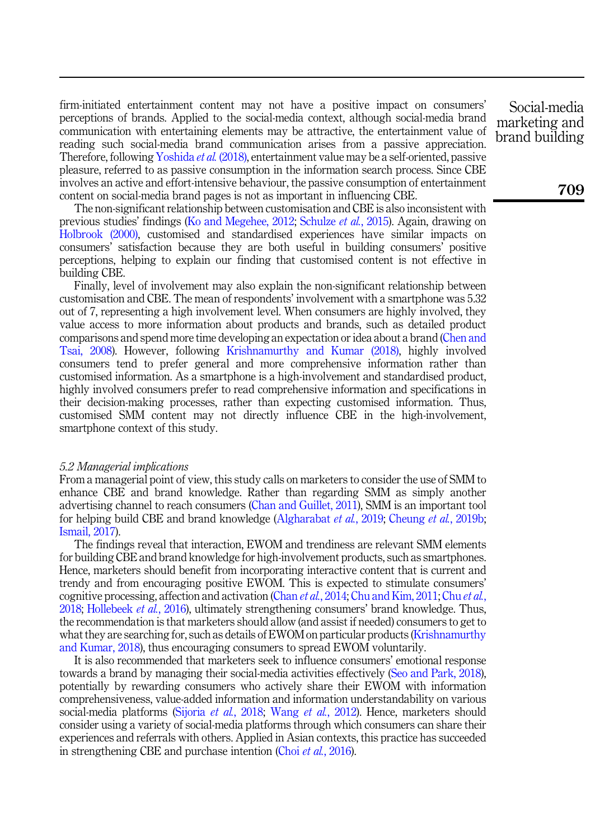firm-initiated entertainment content may not have a positive impact on consumers' perceptions of brands. Applied to the social-media context, although social-media brand communication with entertaining elements may be attractive, the entertainment value of reading such social-media brand communication arises from a passive appreciation. Therefore, following [Yoshida](#page-25-8) et al. (2018), entertainment value may be a self-oriented, passive pleasure, referred to as passive consumption in the information search process. Since CBE involves an active and effort-intensive behaviour, the passive consumption of entertainment content on social-media brand pages is not as important in influencing CBE.

The non-significant relationship between customisation and CBE is also inconsistent with previous studies' findings [\(Ko and Megehee, 2012](#page-21-10); [Schulze](#page-23-10) et al., 2015). Again, drawing on [Holbrook \(2000\),](#page-20-18) customised and standardised experiences have similar impacts on consumers' satisfaction because they are both useful in building consumers' positive perceptions, helping to explain our finding that customised content is not effective in building CBE.

Finally, level of involvement may also explain the non-significant relationship between customisation and CBE. The mean of respondents' involvement with a smartphone was 5.32 out of 7, representing a high involvement level. When consumers are highly involved, they value access to more information about products and brands, such as detailed product comparisons and spend more time developing an expectation or idea about a brand ([Chen and](#page-17-18) [Tsai, 2008\)](#page-17-18). However, following [Krishnamurthy and Kumar \(2018\)](#page-21-11), highly involved consumers tend to prefer general and more comprehensive information rather than customised information. As a smartphone is a high-involvement and standardised product, highly involved consumers prefer to read comprehensive information and specifications in their decision-making processes, rather than expecting customised information. Thus, customised SMM content may not directly influence CBE in the high-involvement, smartphone context of this study.

#### 5.2 Managerial implications

From a managerial point of view, this study calls on marketers to consider the use of SMM to enhance CBE and brand knowledge. Rather than regarding SMM as simply another advertising channel to reach consumers ([Chan and Guillet, 2011\)](#page-17-6), SMM is an important tool for helping build CBE and brand knowledge [\(Algharabat](#page-16-3) et al., 2019; [Cheung](#page-18-5) et al., 2019b; [Ismail, 2017](#page-20-8)).

The findings reveal that interaction, EWOM and trendiness are relevant SMM elements for building CBE and brand knowledge for high-involvement products, such as smartphones. Hence, marketers should benefit from incorporating interactive content that is current and trendy and from encouraging positive EWOM. This is expected to stimulate consumers' cognitive processing, affection and activation (Chan *[et al.](#page-18-16)*[, 2014;](#page-17-12) [Chu and Kim, 2011;](#page-18-15) Chu *et al.*, [2018;](#page-18-16) [Hollebeek](#page-20-5) et al., 2016), ultimately strengthening consumers' brand knowledge. Thus, the recommendation is that marketers should allow (and assist if needed) consumers to get to what they are searching for, such as details of EWOM on particular products [\(Krishnamurthy](#page-21-11) [and Kumar, 2018](#page-21-11)), thus encouraging consumers to spread EWOM voluntarily.

It is also recommended that marketers seek to influence consumers' emotional response towards a brand by managing their social-media activities effectively ([Seo and Park, 2018\)](#page-23-18), potentially by rewarding consumers who actively share their EWOM with information comprehensiveness, value-added information and information understandability on various social-media platforms [\(Sijoria](#page-24-18) et al., 2018; Wang et al.[, 2012\)](#page-25-9). Hence, marketers should consider using a variety of social-media platforms through which consumers can share their experiences and referrals with others. Applied in Asian contexts, this practice has succeeded in strengthening CBE and purchase intention (Choi *et al.*[, 2016\)](#page-18-14).

Social-media marketing and brand building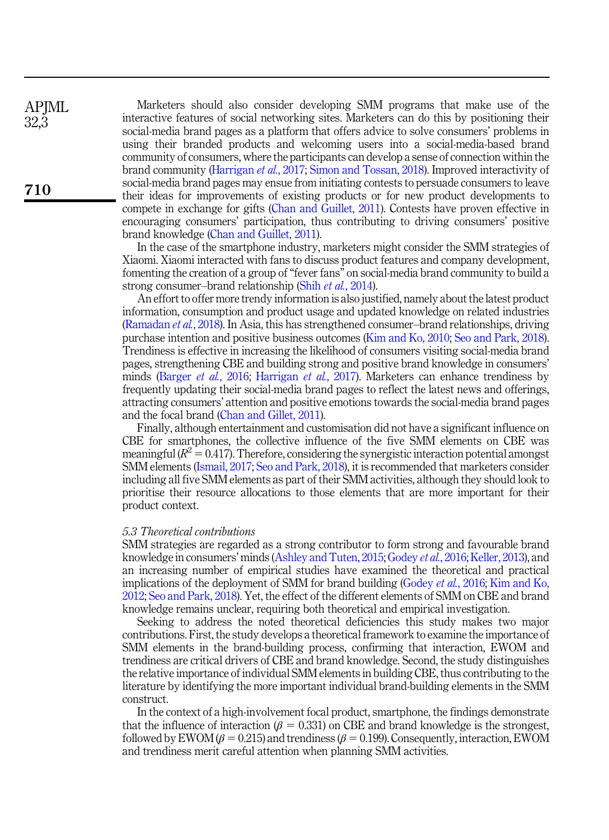Marketers should also consider developing SMM programs that make use of the interactive features of social networking sites. Marketers can do this by positioning their social-media brand pages as a platform that offers advice to solve consumers' problems in using their branded products and welcoming users into a social-media-based brand community of consumers, where the participants can develop a sense of connection within the brand community ([Harrigan](#page-20-7) et al., 2017; [Simon and Tossan, 2018\)](#page-24-12). Improved interactivity of social-media brand pages may ensue from initiating contests to persuade consumers to leave their ideas for improvements of existing products or for new product developments to compete in exchange for gifts [\(Chan and Guillet, 2011](#page-17-6)). Contests have proven effective in encouraging consumers' participation, thus contributing to driving consumers' positive brand knowledge [\(Chan and Guillet, 2011\)](#page-17-6).

In the case of the smartphone industry, marketers might consider the SMM strategies of Xiaomi. Xiaomi interacted with fans to discuss product features and company development, fomenting the creation of a group of "fever fans" on social-media brand community to build a strong consumer–brand relationship (Shih *et al.*[, 2014\)](#page-24-9).

An effort to offer more trendy information is also justified, namely about the latest product information, consumption and product usage and updated knowledge on related industries ([Ramadan](#page-23-19) et al., 2018). In Asia, this has strengthened consumer–brand relationships, driving purchase intention and positive business outcomes ([Kim and Ko, 2010](#page-21-17); [Seo and Park, 2018\)](#page-23-18). Trendiness is effective in increasing the likelihood of consumers visiting social-media brand pages, strengthening CBE and building strong and positive brand knowledge in consumers' minds [\(Barger](#page-16-2) et al., 2016; [Harrigan](#page-20-7) et al., 2017). Marketers can enhance trendiness by frequently updating their social-media brand pages to reflect the latest news and offerings, attracting consumers' attention and positive emotions towards the social-media brand pages and the focal brand [\(Chan and Gillet, 2011\)](#page-17-6).

Finally, although entertainment and customisation did not have a significant influence on CBE for smartphones, the collective influence of the five SMM elements on CBE was meaningful ( $R^2 = 0.417$ ). Therefore, considering the synergistic interaction potential amongst SMM elements [\(Ismail, 2017](#page-20-8); [Seo and Park, 2018](#page-23-18)), it is recommended that marketers consider including all five SMM elements as part of their SMM activities, although they should look to prioritise their resource allocations to those elements that are more important for their product context.

# 5.3 Theoretical contributions

**APIML** 32,3

710

SMM strategies are regarded as a strong contributor to form strong and favourable brand knowledge in consumers' minds [\(Ashley and Tuten, 2015;](#page-16-1) [Godey](#page-19-7) et al., 2016; [Keller, 2013\)](#page-21-6), and an increasing number of empirical studies have examined the theoretical and practical implications of the deployment of SMM for brand building ([Godey](#page-19-7) et al., 2016; [Kim and Ko,](#page-21-9) [2012;](#page-21-9) [Seo and Park, 2018\)](#page-23-18). Yet, the effect of the different elements of SMM on CBE and brand knowledge remains unclear, requiring both theoretical and empirical investigation.

Seeking to address the noted theoretical deficiencies this study makes two major contributions. First, the study develops a theoretical framework to examine the importance of SMM elements in the brand-building process, confirming that interaction, EWOM and trendiness are critical drivers of CBE and brand knowledge. Second, the study distinguishes the relative importance of individual SMM elements in building CBE, thus contributing to the literature by identifying the more important individual brand-building elements in the SMM construct.

In the context of a high-involvement focal product, smartphone, the findings demonstrate that the influence of interaction ( $\beta = 0.331$ ) on CBE and brand knowledge is the strongest, followed by EWOM ( $\beta$  = 0.215) and trendiness ( $\beta$  = 0.199). Consequently, interaction, EWOM and trendiness merit careful attention when planning SMM activities.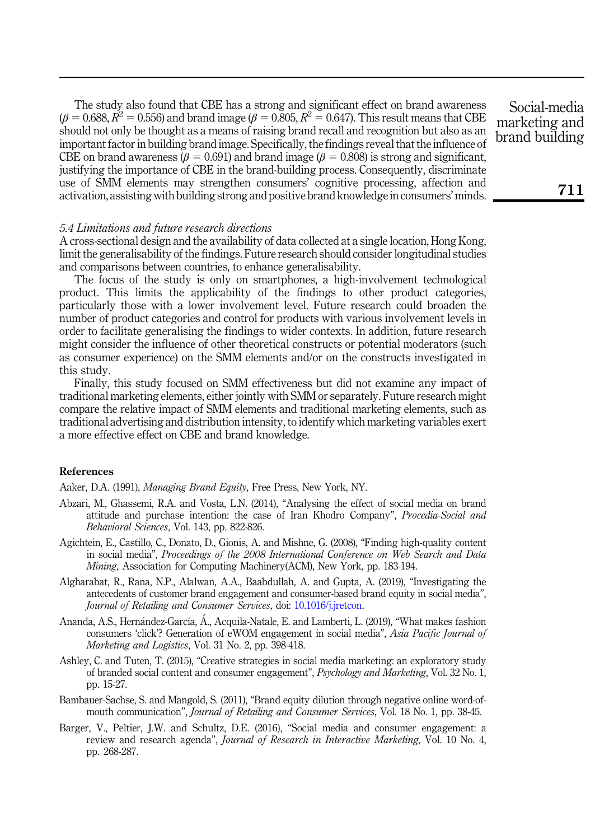The study also found that CBE has a strong and significant effect on brand awareness ( $\beta = 0.688$ ,  $R^2 = 0.556$ ) and brand image ( $\beta = 0.805$ ,  $R^2 = 0.647$ ). This result means that CBE should not only be thought as a means of raising brand recall and recognition but also as an important factor in building brand image. Specifically, the findings reveal that the influence of CBE on brand awareness ( $\beta = 0.691$ ) and brand image ( $\beta = 0.808$ ) is strong and significant, justifying the importance of CBE in the brand-building process. Consequently, discriminate use of SMM elements may strengthen consumers' cognitive processing, affection and activation, assisting with building strong and positive brand knowledge in consumers'minds.

# 5.4 Limitations and future research directions

A cross-sectional design and the availability of data collected at a single location, Hong Kong, limit the generalisability of the findings. Future research should consider longitudinal studies and comparisons between countries, to enhance generalisability.

The focus of the study is only on smartphones, a high-involvement technological product. This limits the applicability of the findings to other product categories, particularly those with a lower involvement level. Future research could broaden the number of product categories and control for products with various involvement levels in order to facilitate generalising the findings to wider contexts. In addition, future research might consider the influence of other theoretical constructs or potential moderators (such as consumer experience) on the SMM elements and/or on the constructs investigated in this study.

Finally, this study focused on SMM effectiveness but did not examine any impact of traditional marketing elements, either jointly with SMM or separately. Future research might compare the relative impact of SMM elements and traditional marketing elements, such as traditional advertising and distribution intensity, to identify which marketing variables exert a more effective effect on CBE and brand knowledge.

# <span id="page-16-7"></span>References

<span id="page-16-0"></span>Aaker, D.A. (1991), Managing Brand Equity, Free Press, New York, NY.

- Abzari, M., Ghassemi, R.A. and Vosta, L.N. (2014), "Analysing the effect of social media on brand attitude and purchase intention: the case of Iran Khodro Company", Procedia-Social and Behavioral Sciences, Vol. 143, pp. 822-826.
- <span id="page-16-4"></span>Agichtein, E., Castillo, C., Donato, D., Gionis, A. and Mishne, G. (2008), "Finding high-quality content in social media", Proceedings of the 2008 International Conference on Web Search and Data Mining, Association for Computing Machinery(ACM), New York, pp. 183-194.
- <span id="page-16-3"></span>Algharabat, R., Rana, N.P., Alalwan, A.A., Baabdullah, A. and Gupta, A. (2019), "Investigating the antecedents of customer brand engagement and consumer-based brand equity in social media", Journal of Retailing and Consumer Services, doi: [10.1016/j.jretcon](https://doi.org/10.1016/j.jretcon).
- <span id="page-16-6"></span>Ananda, A.S., Hernández-García, Á., Acquila-Natale, E. and Lamberti, L. (2019), "What makes fashion consumers 'click'? Generation of eWOM engagement in social media", Asia Pacific Journal of Marketing and Logistics, Vol. 31 No. 2, pp. 398-418.
- <span id="page-16-1"></span>Ashley, C. and Tuten, T. (2015), "Creative strategies in social media marketing: an exploratory study of branded social content and consumer engagement", Psychology and Marketing, Vol. 32 No. 1, pp. 15-27.
- <span id="page-16-5"></span>Bambauer-Sachse, S. and Mangold, S. (2011), "Brand equity dilution through negative online word-ofmouth communication", *Journal of Retailing and Consumer Services*, Vol. 18 No. 1, pp. 38-45.
- <span id="page-16-2"></span>Barger, V., Peltier, J.W. and Schultz, D.E. (2016), "Social media and consumer engagement: a review and research agenda", Journal of Research in Interactive Marketing, Vol. 10 No. 4, pp. 268-287.

Social-media marketing and brand building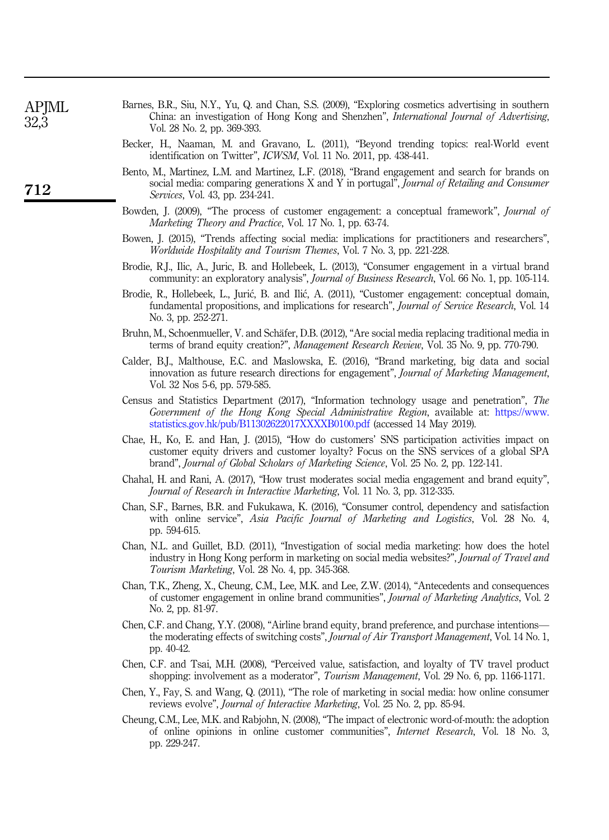<span id="page-17-15"></span>

| APJML<br>32,3 | Barnes, B.R., Siu, N.Y., Yu, Q. and Chan, S.S. (2009), "Exploring cosmetics advertising in southern<br>China: an investigation of Hong Kong and Shenzhen", <i>International Journal of Advertising</i><br>Vol. 28 No. 2, pp. 369-393.           |
|---------------|-------------------------------------------------------------------------------------------------------------------------------------------------------------------------------------------------------------------------------------------------|
|               | Becker, H., Naaman, M. and Gravano, L. (2011), "Beyond trending topics: real-World event<br>identification on Twitter", <i>ICWSM</i> , Vol. 11 No. 2011, pp. 438-441.                                                                           |
| 712           | Bento, M., Martinez, L.M. and Martinez, L.F. (2018), "Brand engagement and search for brands on<br>social media: comparing generations X and Y in portugal", <i>Journal of Retailing and Consumer</i><br><i>Services.</i> Vol. 43, pp. 234-241. |
|               |                                                                                                                                                                                                                                                 |

- <span id="page-17-10"></span><span id="page-17-9"></span><span id="page-17-0"></span>Bowden, J. (2009), "The process of customer engagement: a conceptual framework", Journal of Marketing Theory and Practice, Vol. 17 No. 1, pp. 63-74.
- <span id="page-17-5"></span>Bowen, J. (2015), "Trends affecting social media: implications for practitioners and researchers", Worldwide Hospitality and Tourism Themes, Vol. 7 No. 3, pp. 221-228.
- <span id="page-17-2"></span>Brodie, R.J., Ilic, A., Juric, B. and Hollebeek, L. (2013), "Consumer engagement in a virtual brand community: an exploratory analysis", Journal of Business Research, Vol. 66 No. 1, pp. 105-114.
- <span id="page-17-1"></span>Brodie, R., Hollebeek, L., Juric, B. and Ilic, A. (2011), "Customer engagement: conceptual domain, fundamental propositions, and implications for research", Journal of Service Research, Vol. 14 No. 3, pp. 252-271.
- <span id="page-17-4"></span>Bruhn, M., Schoenmueller, V. and Schäfer, D.B. (2012), "Are social media replacing traditional media in terms of brand equity creation?", Management Research Review, Vol. 35 No. 9, pp. 770-790.
- <span id="page-17-3"></span>Calder, B.J., Malthouse, E.C. and Maslowska, E. (2016), "Brand marketing, big data and social innovation as future research directions for engagement", Journal of Marketing Management, Vol. 32 Nos 5-6, pp. 579-585.
- <span id="page-17-17"></span>Census and Statistics Department (2017), "Information technology usage and penetration", The Government of the Hong Kong Special Administrative Region, available at: [https://www.](https://www.statistics.gov.hk/pub/B11302622017XXXXB0100.pdf) [statistics.gov.hk/pub/B11302622017XXXXB0100.pdf](https://www.statistics.gov.hk/pub/B11302622017XXXXB0100.pdf) (accessed 14 May 2019).
- <span id="page-17-7"></span>Chae, H., Ko, E. and Han, J. (2015), "How do customers' SNS participation activities impact on customer equity drivers and customer loyalty? Focus on the SNS services of a global SPA brand", Journal of Global Scholars of Marketing Science, Vol. 25 No. 2, pp. 122-141.
- <span id="page-17-14"></span>Chahal, H. and Rani, A. (2017), "How trust moderates social media engagement and brand equity", Journal of Research in Interactive Marketing, Vol. 11 No. 3, pp. 312-335.
- <span id="page-17-16"></span>Chan, S.F., Barnes, B.R. and Fukukawa, K. (2016), "Consumer control, dependency and satisfaction with online service", Asia Pacific Journal of Marketing and Logistics, Vol. 28 No. 4, pp. 594-615.
- <span id="page-17-6"></span>Chan, N.L. and Guillet, B.D. (2011), "Investigation of social media marketing: how does the hotel industry in Hong Kong perform in marketing on social media websites?", Journal of Travel and Tourism Marketing, Vol. 28 No. 4, pp. 345-368.
- <span id="page-17-12"></span>Chan, T.K., Zheng, X., Cheung, C.M., Lee, M.K. and Lee, Z.W. (2014), "Antecedents and consequences of customer engagement in online brand communities", Journal of Marketing Analytics, Vol. 2 No. 2, pp. 81-97.
- <span id="page-17-13"></span>Chen, C.F. and Chang, Y.Y. (2008), "Airline brand equity, brand preference, and purchase intentions the moderating effects of switching costs", *Journal of Air Transport Management*, Vol. 14 No. 1, pp. 40-42.
- <span id="page-17-18"></span>Chen, C.F. and Tsai, M.H. (2008), "Perceived value, satisfaction, and loyalty of TV travel product shopping: involvement as a moderator", *Tourism Management*, Vol. 29 No. 6, pp. 1166-1171.
- <span id="page-17-11"></span>Chen, Y., Fay, S. and Wang, Q. (2011), "The role of marketing in social media: how online consumer reviews evolve", Journal of Interactive Marketing, Vol. 25 No. 2, pp. 85-94.
- <span id="page-17-8"></span>Cheung, C.M., Lee, M.K. and Rabjohn, N. (2008), "The impact of electronic word-of-mouth: the adoption of online opinions in online customer communities", Internet Research, Vol. 18 No. 3, pp. 229-247.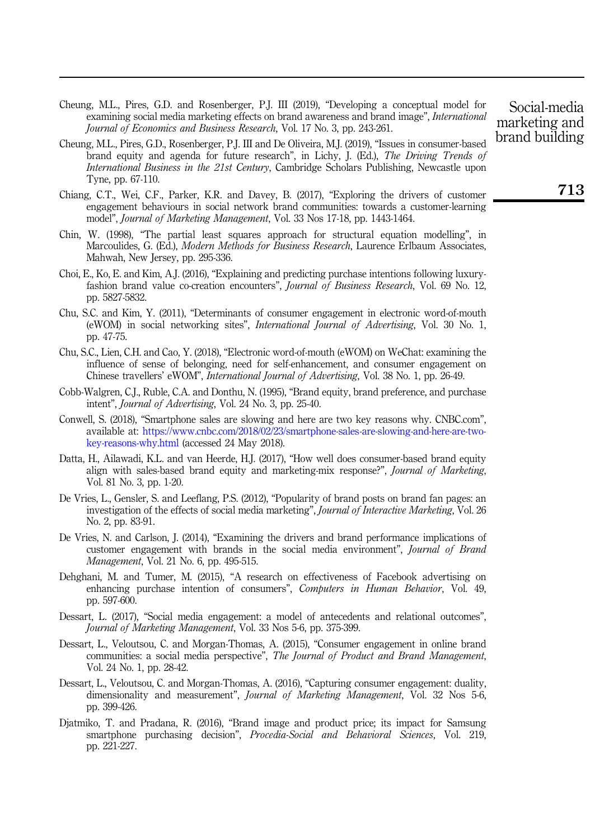- <span id="page-18-6"></span>Cheung, M.L., Pires, G.D. and Rosenberger, P.J. III (2019), "Developing a conceptual model for examining social media marketing effects on brand awareness and brand image", International Journal of Economics and Business Research, Vol. 17 No. 3, pp. 243-261.
- <span id="page-18-5"></span>Cheung, M.L., Pires, G.D., Rosenberger, P.J. III and De Oliveira, M.J. (2019), "Issues in consumer-based brand equity and agenda for future research", in Lichy, J. (Ed.), The Driving Trends of International Business in the 21st Century, Cambridge Scholars Publishing, Newcastle upon Tyne, pp. 67-110.
- <span id="page-18-3"></span>Chiang, C.T., Wei, C.F., Parker, K.R. and Davey, B. (2017), "Exploring the drivers of customer engagement behaviours in social network brand communities: towards a customer-learning model", Journal of Marketing Management, Vol. 33 Nos 17-18, pp. 1443-1464.
- <span id="page-18-13"></span>Chin, W. (1998), "The partial least squares approach for structural equation modelling", in Marcoulides, G. (Ed.), *Modern Methods for Business Research*, Laurence Erlbaum Associates, Mahwah, New Jersey, pp. 295-336.
- <span id="page-18-14"></span>Choi, E., Ko, E. and Kim, A.J. (2016), "Explaining and predicting purchase intentions following luxuryfashion brand value co-creation encounters", *Journal of Business Research*, Vol. 69 No. 12, pp. 5827-5832.
- <span id="page-18-15"></span>Chu, S.C. and Kim, Y. (2011), "Determinants of consumer engagement in electronic word-of-mouth (eWOM) in social networking sites", International Journal of Advertising, Vol. 30 No. 1, pp. 47-75.
- <span id="page-18-16"></span>Chu, S.C., Lien, C.H. and Cao, Y. (2018), "Electronic word-of-mouth (eWOM) on WeChat: examining the influence of sense of belonging, need for self-enhancement, and consumer engagement on Chinese travellers' eWOM", International Journal of Advertising, Vol. 38 No. 1, pp. 26-49.
- <span id="page-18-10"></span>Cobb-Walgren, C.J., Ruble, C.A. and Donthu, N. (1995), "Brand equity, brand preference, and purchase intent", Journal of Advertising, Vol. 24 No. 3, pp. 25-40.
- <span id="page-18-11"></span>Conwell, S. (2018), "Smartphone sales are slowing and here are two key reasons why. CNBC.com", available at: [https://www.cnbc.com/2018/02/23/smartphone-sales-are-slowing-and-here-are-two](https://www.cnbc.com/2018/02/23/smartphone-sales-are-slowing-and-here-are-two-key-reasons-why.html)[key-reasons-why.html](https://www.cnbc.com/2018/02/23/smartphone-sales-are-slowing-and-here-are-two-key-reasons-why.html) (accessed 24 May 2018).
- <span id="page-18-9"></span>Datta, H., Ailawadi, K.L. and van Heerde, H.J. (2017), "How well does consumer-based brand equity align with sales-based brand equity and marketing-mix response?", Journal of Marketing, Vol. 81 No. 3, pp. 1-20.
- <span id="page-18-7"></span>De Vries, L., Gensler, S. and Leeflang, P.S. (2012), "Popularity of brand posts on brand fan pages: an investigation of the effects of social media marketing", Journal of Interactive Marketing, Vol. 26 No. 2, pp. 83-91.
- <span id="page-18-4"></span>De Vries, N. and Carlson, J. (2014), "Examining the drivers and brand performance implications of customer engagement with brands in the social media environment", Journal of Brand Management, Vol. 21 No. 6, pp. 495-515.
- <span id="page-18-8"></span>Dehghani, M. and Tumer, M. (2015), "A research on effectiveness of Facebook advertising on enhancing purchase intention of consumers", Computers in Human Behavior, Vol. 49, pp. 597-600.
- <span id="page-18-1"></span>Dessart, L. (2017), "Social media engagement: a model of antecedents and relational outcomes", Journal of Marketing Management, Vol. 33 Nos 5-6, pp. 375-399.
- <span id="page-18-0"></span>Dessart, L., Veloutsou, C. and Morgan-Thomas, A. (2015), "Consumer engagement in online brand communities: a social media perspective", The Journal of Product and Brand Management, Vol. 24 No. 1, pp. 28-42.
- <span id="page-18-2"></span>Dessart, L., Veloutsou, C. and Morgan-Thomas, A. (2016), "Capturing consumer engagement: duality, dimensionality and measurement", Journal of Marketing Management, Vol. 32 Nos 5-6, pp. 399-426.
- <span id="page-18-12"></span>Djatmiko, T. and Pradana, R. (2016), "Brand image and product price; its impact for Samsung smartphone purchasing decision", *Procedia-Social and Behavioral Sciences*, Vol. 219, pp. 221-227.

Social-media marketing and brand building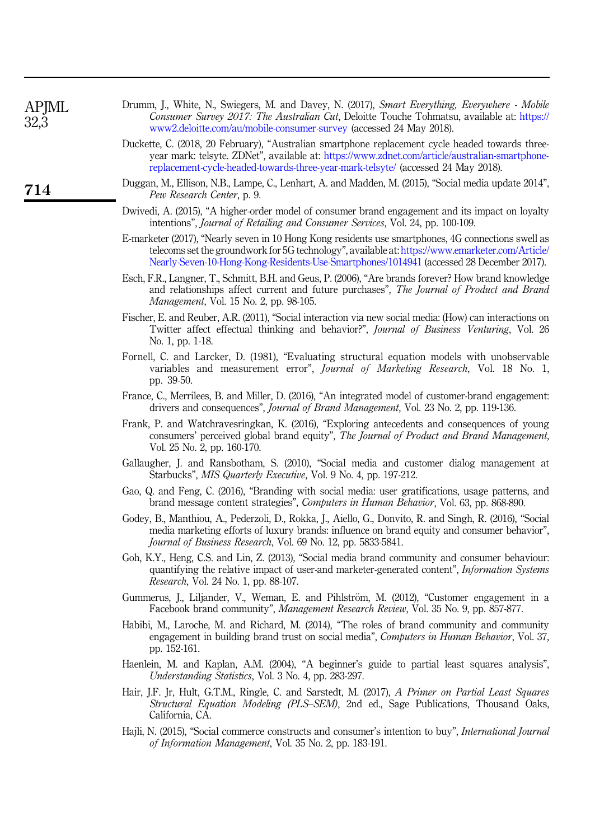<span id="page-19-18"></span><span id="page-19-17"></span><span id="page-19-16"></span><span id="page-19-15"></span><span id="page-19-14"></span><span id="page-19-13"></span><span id="page-19-12"></span><span id="page-19-11"></span><span id="page-19-10"></span><span id="page-19-9"></span><span id="page-19-8"></span><span id="page-19-7"></span><span id="page-19-6"></span><span id="page-19-5"></span><span id="page-19-4"></span><span id="page-19-3"></span><span id="page-19-2"></span><span id="page-19-1"></span><span id="page-19-0"></span>

| APJML<br>32,3 | Drumm, J., White, N., Swiegers, M. and Davey, N. (2017), Smart Everything, Everywhere - Mobile<br>Consumer Survey 2017: The Australian Cut, Deloitte Touche Tohmatsu, available at: https://<br>www2.deloitte.com/au/mobile-consumer-survey (accessed 24 May 2018).                                 |
|---------------|-----------------------------------------------------------------------------------------------------------------------------------------------------------------------------------------------------------------------------------------------------------------------------------------------------|
|               | Duckette, C. (2018, 20 February), "Australian smartphone replacement cycle headed towards three-<br>year mark: telsyte. ZDNet", available at: https://www.zdnet.com/article/australian-smartphone-<br>replacement-cycle-headed-towards-three-year-mark-telsyte/ (accessed 24 May 2018).             |
| 714           | Duggan, M., Ellison, N.B., Lampe, C., Lenhart, A. and Madden, M. (2015), "Social media update 2014",<br>Pew Research Center, p. 9.                                                                                                                                                                  |
|               | Dwivedi, A. (2015), "A higher-order model of consumer brand engagement and its impact on loyalty<br>intentions", Journal of Retailing and Consumer Services, Vol. 24, pp. 100-109.                                                                                                                  |
|               | E-marketer (2017), "Nearly seven in 10 Hong Kong residents use smartphones, 4G connections swell as<br>telecoms set the groundwork for 5G technology", available at: https://www.emarketer.com/Article/<br>Nearly-Seven-10-Hong-Kong-Residents-Use-Smartphones/1014941 (accessed 28 December 2017). |
|               | Esch, F.R., Langner, T., Schmitt, B.H. and Geus, P. (2006), "Are brands forever? How brand knowledge<br>and relationships affect current and future purchases", The Journal of Product and Brand<br><i>Management, Vol. 15 No. 2, pp. 98-105.</i>                                                   |
|               | Fischer, E. and Reuber, A.R. (2011), "Social interaction via new social media: (How) can interactions on<br>Twitter affect effectual thinking and behavior?", Journal of Business Venturing, Vol. 26<br>No. 1, pp. 1-18.                                                                            |
|               | Fornell, C. and Larcker, D. (1981), "Evaluating structural equation models with unobservable<br>variables and measurement error", <i>Journal of Marketing Research</i> , Vol. 18 No. 1,<br>pp. 39-50.                                                                                               |
|               | France, C., Merrilees, B. and Miller, D. (2016), "An integrated model of customer-brand engagement:<br>drivers and consequences", Journal of Brand Management, Vol. 23 No. 2, pp. 119-136.                                                                                                          |
|               | Frank, P. and Watchravesringkan, K. (2016), "Exploring antecedents and consequences of young<br>consumers' perceived global brand equity", The Journal of Product and Brand Management,<br>Vol. 25 No. 2, pp. 160-170.                                                                              |
|               | Gallaugher, J. and Ransbotham, S. (2010), "Social media and customer dialog management at<br>Starbucks", MIS Quarterly Executive, Vol. 9 No. 4, pp. 197-212.                                                                                                                                        |
|               | Gao, Q. and Feng, C. (2016), "Branding with social media: user gratifications, usage patterns, and<br>brand message content strategies", <i>Computers in Human Behavior</i> , Vol. 63, pp. 868-890.                                                                                                 |
|               | Godey, B., Manthiou, A., Pederzoli, D., Rokka, J., Aiello, G., Donvito, R. and Singh, R. (2016), "Social<br>media marketing efforts of luxury brands: influence on brand equity and consumer behavior",<br>Journal of Business Research, Vol. 69 No. 12, pp. 5833-5841.                             |
|               | Goh, K.Y., Heng, C.S. and Lin, Z. (2013), "Social media brand community and consumer behaviour:<br>quantifying the relative impact of user-and marketer-generated content", <i>Information Systems</i><br><i>Research</i> , Vol. 24 No. 1, pp. 88-107.                                              |
|               | Gummerus, J., Liljander, V., Weman, E. and Pihlström, M. (2012), "Customer engagement in a<br>Facebook brand community", <i>Management Research Review</i> , Vol. 35 No. 9, pp. 857-877.                                                                                                            |
|               | Habibi, M., Laroche, M. and Richard, M. (2014), "The roles of brand community and community<br>engagement in building brand trust on social media", Computers in Human Behavior, Vol. 37,<br>pp. 152-161.                                                                                           |
|               | Haenlein, M. and Kaplan, A.M. (2004), "A beginner's guide to partial least squares analysis",<br>Understanding Statistics, Vol. 3 No. 4, pp. 283-297.                                                                                                                                               |
|               | Hair, J.F. Jr, Hult, G.T.M., Ringle, C. and Sarstedt, M. (2017), A Primer on Partial Least Squares<br>Structural Equation Modeling (PLS–SEM), 2nd ed., Sage Publications, Thousand Oaks,<br>California, CA.                                                                                         |
|               | Hajli, N. (2015), "Social commerce constructs and consumer's intention to buy", <i>International Journal</i><br>of Information Management, Vol. 35 No. 2, pp. 183-191.                                                                                                                              |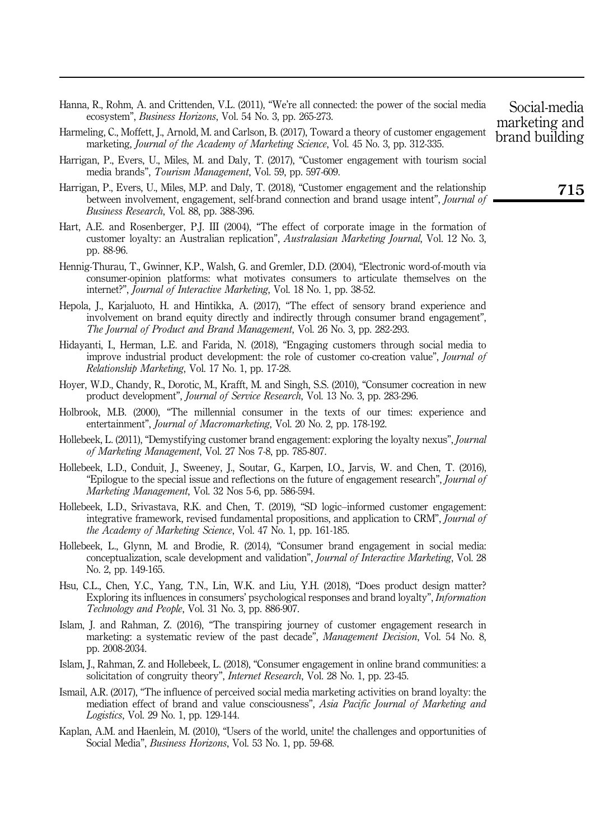- <span id="page-20-12"></span>Hanna, R., Rohm, A. and Crittenden, V.L. (2011), "We're all connected: the power of the social media ecosystem", Business Horizons, Vol. 54 No. 3, pp. 265-273.
- <span id="page-20-0"></span>Harmeling, C., Moffett, J., Arnold, M. and Carlson, B. (2017), Toward a theory of customer engagement marketing, Journal of the Academy of Marketing Science, Vol. 45 No. 3, pp. 312-335.
- <span id="page-20-7"></span>Harrigan, P., Evers, U., Miles, M. and Daly, T. (2017), "Customer engagement with tourism social media brands", Tourism Management, Vol. 59, pp. 597-609.
- <span id="page-20-11"></span>Harrigan, P., Evers, U., Miles, M.P. and Daly, T. (2018), "Customer engagement and the relationship between involvement, engagement, self-brand connection and brand usage intent", *Journal of* Business Research, Vol. 88, pp. 388-396.
- <span id="page-20-15"></span>Hart, A.E. and Rosenberger, P.J. III (2004), "The effect of corporate image in the formation of customer loyalty: an Australian replication", Australasian Marketing Journal, Vol. 12 No. 3, pp. 88-96.
- <span id="page-20-10"></span>Hennig-Thurau, T., Gwinner, K.P., Walsh, G. and Gremler, D.D. (2004), "Electronic word-of-mouth via consumer-opinion platforms: what motivates consumers to articulate themselves on the internet?", Journal of Interactive Marketing, Vol. 18 No. 1, pp. 38-52.
- <span id="page-20-4"></span>Hepola, J., Karjaluoto, H. and Hintikka, A. (2017), "The effect of sensory brand experience and involvement on brand equity directly and indirectly through consumer brand engagement", The Journal of Product and Brand Management, Vol. 26 No. 3, pp. 282-293.
- <span id="page-20-13"></span>Hidayanti, I., Herman, L.E. and Farida, N. (2018), "Engaging customers through social media to improve industrial product development: the role of customer co-creation value", Journal of Relationship Marketing, Vol. 17 No. 1, pp. 17-28.
- <span id="page-20-14"></span>Hoyer, W.D., Chandy, R., Dorotic, M., Krafft, M. and Singh, S.S. (2010), "Consumer cocreation in new product development", Journal of Service Research, Vol. 13 No. 3, pp. 283-296.
- <span id="page-20-18"></span>Holbrook, M.B. (2000), "The millennial consumer in the texts of our times: experience and entertainment", Journal of Macromarketing, Vol. 20 No. 2, pp. 178-192.
- <span id="page-20-3"></span>Hollebeek, L. (2011), "Demystifying customer brand engagement: exploring the loyalty nexus", Journal of Marketing Management, Vol. 27 Nos 7-8, pp. 785-807.
- <span id="page-20-5"></span>Hollebeek, L.D., Conduit, J., Sweeney, J., Soutar, G., Karpen, I.O., Jarvis, W. and Chen, T. (2016), "Epilogue to the special issue and reflections on the future of engagement research", Journal of Marketing Management, Vol. 32 Nos 5-6, pp. 586-594.
- <span id="page-20-1"></span>Hollebeek, L.D., Srivastava, R.K. and Chen, T. (2019), "SD logic–informed customer engagement: integrative framework, revised fundamental propositions, and application to CRM", Journal of the Academy of Marketing Science, Vol. 47 No. 1, pp. 161-185.
- <span id="page-20-2"></span>Hollebeek, L., Glynn, M. and Brodie, R. (2014), "Consumer brand engagement in social media: conceptualization, scale development and validation", Journal of Interactive Marketing, Vol. 28 No. 2, pp. 149-165.
- <span id="page-20-16"></span>Hsu, C.L., Chen, Y.C., Yang, T.N., Lin, W.K. and Liu, Y.H. (2018), "Does product design matter? Exploring its influences in consumers' psychological responses and brand loyalty", Information Technology and People, Vol. 31 No. 3, pp. 886-907.
- <span id="page-20-6"></span>Islam, J. and Rahman, Z. (2016), "The transpiring journey of customer engagement research in marketing: a systematic review of the past decade", Management Decision, Vol. 54 No. 8, pp. 2008-2034.
- <span id="page-20-17"></span>Islam, J., Rahman, Z. and Hollebeek, L. (2018), "Consumer engagement in online brand communities: a solicitation of congruity theory", Internet Research, Vol. 28 No. 1, pp. 23-45.
- <span id="page-20-8"></span>Ismail, A.R. (2017), "The influence of perceived social media marketing activities on brand loyalty: the mediation effect of brand and value consciousness", Asia Pacific Journal of Marketing and Logistics, Vol. 29 No. 1, pp. 129-144.
- <span id="page-20-9"></span>Kaplan, A.M. and Haenlein, M. (2010), "Users of the world, unite! the challenges and opportunities of Social Media", *Business Horizons*, Vol. 53 No. 1, pp. 59-68.

Social-media marketing and brand building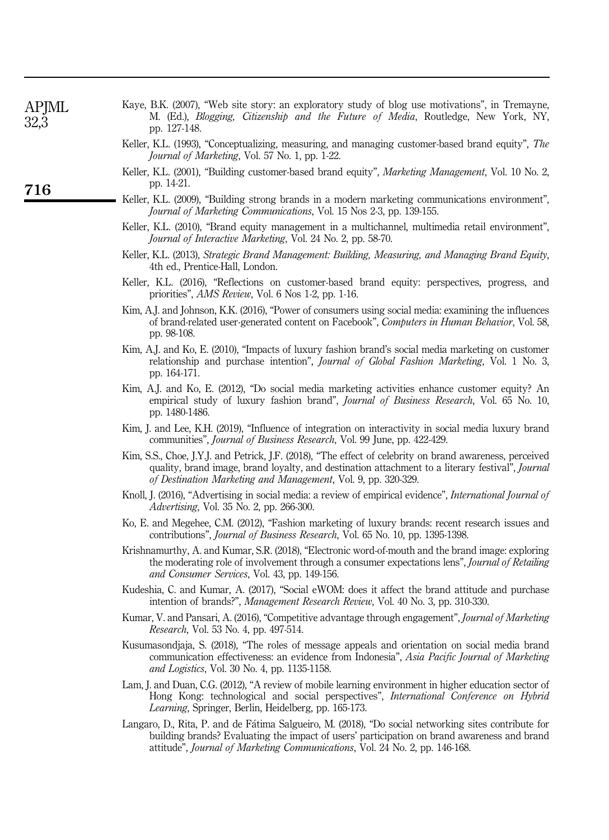| APIML |  |
|-------|--|
| 32.   |  |

- <span id="page-21-8"></span>Kaye, B.K. (2007), "Web site story: an exploratory study of blog use motivations", in Tremayne, M. (Ed.), Blogging, Citizenship and the Future of Media, Routledge, New York, NY, pp. 127-148.
- <span id="page-21-13"></span>Keller, K.L. (1993), "Conceptualizing, measuring, and managing customer-based brand equity", The Journal of Marketing, Vol. 57 No. 1, pp. 1-22.
- <span id="page-21-15"></span>Keller, K.L. (2001), "Building customer-based brand equity", Marketing Management, Vol. 10 No. 2, pp. 14-21.
- <span id="page-21-1"></span>Keller, K.L. (2009), "Building strong brands in a modern marketing communications environment", Journal of Marketing Communications, Vol. 15 Nos 2-3, pp. 139-155.
- <span id="page-21-14"></span>Keller, K.L. (2010), "Brand equity management in a multichannel, multimedia retail environment", Journal of Interactive Marketing, Vol. 24 No. 2, pp. 58-70.
- <span id="page-21-6"></span>Keller, K.L. (2013), Strategic Brand Management: Building, Measuring, and Managing Brand Equity, 4th ed., Prentice-Hall, London.
- <span id="page-21-4"></span>Keller, K.L. (2016), "Reflections on customer-based brand equity: perspectives, progress, and priorities", AMS Review, Vol. 6 Nos 1-2, pp. 1-16.
- <span id="page-21-19"></span>Kim, A.J. and Johnson, K.K. (2016), "Power of consumers using social media: examining the influences of brand-related user-generated content on Facebook", Computers in Human Behavior, Vol. 58, pp. 98-108.
- <span id="page-21-17"></span>Kim, A.J. and Ko, E. (2010), "Impacts of luxury fashion brand's social media marketing on customer relationship and purchase intention", Journal of Global Fashion Marketing, Vol. 1 No. 3, pp. 164-171.
- <span id="page-21-9"></span>Kim, A.J. and Ko, E. (2012), "Do social media marketing activities enhance customer equity? An empirical study of luxury fashion brand", *Journal of Business Research*, Vol. 65 No. 10, pp. 1480-1486.
- <span id="page-21-18"></span>Kim, J. and Lee, K.H. (2019), "Influence of integration on interactivity in social media luxury brand communities", Journal of Business Research, Vol. 99 June, pp. 422-429.
- <span id="page-21-12"></span>Kim, S.S., Choe, J.Y.J. and Petrick, J.F. (2018), "The effect of celebrity on brand awareness, perceived quality, brand image, brand loyalty, and destination attachment to a literary festival", *Journal* of Destination Marketing and Management, Vol. 9, pp. 320-329.
- <span id="page-21-3"></span>Knoll, J. (2016), "Advertising in social media: a review of empirical evidence", *International Journal of* Advertising, Vol. 35 No. 2, pp. 266-300.
- <span id="page-21-10"></span>Ko, E. and Megehee, C.M. (2012), "Fashion marketing of luxury brands: recent research issues and contributions", Journal of Business Research, Vol. 65 No. 10, pp. 1395-1398.
- <span id="page-21-11"></span>Krishnamurthy, A. and Kumar, S.R. (2018), "Electronic word-of-mouth and the brand image: exploring the moderating role of involvement through a consumer expectations lens", *Journal of Retailing* and Consumer Services, Vol. 43, pp. 149-156.
- <span id="page-21-7"></span>Kudeshia, C. and Kumar, A. (2017), "Social eWOM: does it affect the brand attitude and purchase intention of brands?", Management Research Review, Vol. 40 No. 3, pp. 310-330.
- <span id="page-21-0"></span>Kumar, V. and Pansari, A. (2016), "Competitive advantage through engagement", *Journal of Marketing* Research, Vol. 53 No. 4, pp. 497-514.
- <span id="page-21-5"></span>Kusumasondjaja, S. (2018), "The roles of message appeals and orientation on social media brand communication effectiveness: an evidence from Indonesia", Asia Pacific Journal of Marketing and Logistics, Vol. 30 No. 4, pp. 1135-1158.
- <span id="page-21-16"></span>Lam, J. and Duan, C.G. (2012), "A review of mobile learning environment in higher education sector of Hong Kong: technological and social perspectives", International Conference on Hybrid Learning, Springer, Berlin, Heidelberg, pp. 165-173.
- <span id="page-21-2"></span>Langaro, D., Rita, P. and de Fatima Salgueiro, M. (2018), "Do social networking sites contribute for building brands? Evaluating the impact of users' participation on brand awareness and brand attitude", Journal of Marketing Communications, Vol. 24 No. 2, pp. 146-168.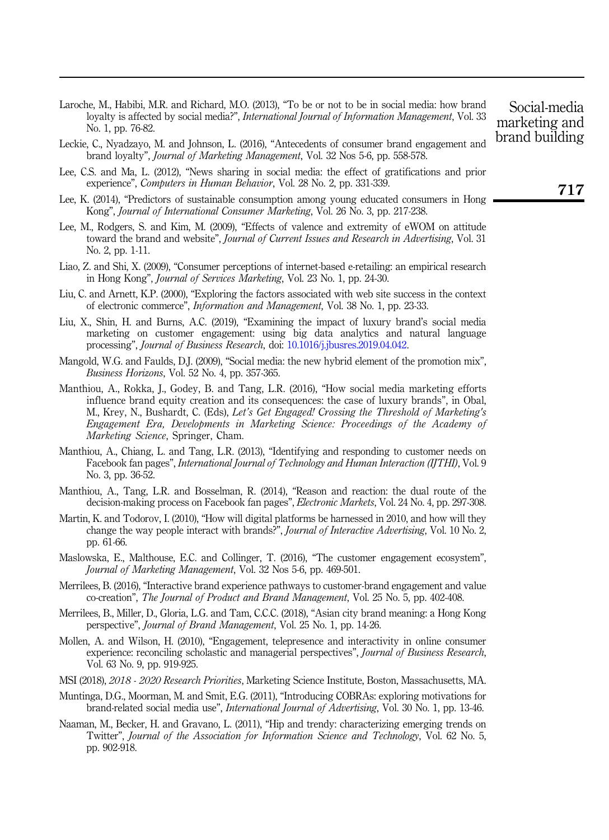- <span id="page-22-13"></span>Laroche, M., Habibi, M.R. and Richard, M.O. (2013), "To be or not to be in social media: how brand loyalty is affected by social media?", *International Journal of Information Management*, Vol. 33 No. 1, pp. 76-82.
- <span id="page-22-15"></span>Leckie, C., Nyadzayo, M. and Johnson, L. (2016), "Antecedents of consumer brand engagement and brand loyalty", Journal of Marketing Management, Vol. 32 Nos 5-6, pp. 558-578.
- <span id="page-22-7"></span>Lee, C.S. and Ma, L. (2012), "News sharing in social media: the effect of gratifications and prior experience", Computers in Human Behavior, Vol. 28 No. 2, pp. 331-339.
- <span id="page-22-19"></span>Lee, K. (2014), "Predictors of sustainable consumption among young educated consumers in Hong Kong", Journal of International Consumer Marketing, Vol. 26 No. 3, pp. 217-238.
- <span id="page-22-11"></span>Lee, M., Rodgers, S. and Kim, M. (2009), "Effects of valence and extremity of eWOM on attitude toward the brand and website", Journal of Current Issues and Research in Advertising, Vol. 31 No. 2, pp. 1-11.
- <span id="page-22-18"></span>Liao, Z. and Shi, X. (2009), "Consumer perceptions of internet-based e-retailing: an empirical research in Hong Kong", Journal of Services Marketing, Vol. 23 No. 1, pp. 24-30.
- <span id="page-22-5"></span>Liu, C. and Arnett, K.P. (2000), "Exploring the factors associated with web site success in the context of electronic commerce", Information and Management, Vol. 38 No. 1, pp. 23-33.
- <span id="page-22-4"></span>Liu, X., Shin, H. and Burns, A.C. (2019), "Examining the impact of luxury brand's social media marketing on customer engagement: using big data analytics and natural language processing", Journal of Business Research, doi: [10.1016/j.jbusres.2019.04.042.](https://doi.org/10.1016/j.jbusres.2019.04.042)
- <span id="page-22-3"></span>Mangold, W.G. and Faulds, D.J. (2009), "Social media: the new hybrid element of the promotion mix", Business Horizons, Vol. 52 No. 4, pp. 357-365.
- <span id="page-22-14"></span>Manthiou, A., Rokka, J., Godey, B. and Tang, L.R. (2016), "How social media marketing efforts influence brand equity creation and its consequences: the case of luxury brands", in Obal, M., Krey, N., Bushardt, C. (Eds), Let's Get Engaged! Crossing the Threshold of Marketing's Engagement Era, Developments in Marketing Science: Proceedings of the Academy of Marketing Science, Springer, Cham.
- <span id="page-22-6"></span>Manthiou, A., Chiang, L. and Tang, L.R. (2013), "Identifying and responding to customer needs on Facebook fan pages", International Journal of Technology and Human Interaction (IJTHI), Vol. 9 No. 3, pp. 36-52.
- <span id="page-22-16"></span>Manthiou, A., Tang, L.R. and Bosselman, R. (2014), "Reason and reaction: the dual route of the decision-making process on Facebook fan pages", Electronic Markets, Vol. 24 No. 4, pp. 297-308.
- <span id="page-22-9"></span>Martin, K. and Todorov, I. (2010), "How will digital platforms be harnessed in 2010, and how will they change the way people interact with brands?", Journal of Interactive Advertising, Vol. 10 No. 2, pp. 61-66.
- <span id="page-22-0"></span>Maslowska, E., Malthouse, E.C. and Collinger, T. (2016), "The customer engagement ecosystem", Journal of Marketing Management, Vol. 32 Nos 5-6, pp. 469-501.
- <span id="page-22-8"></span>Merrilees, B. (2016), "Interactive brand experience pathways to customer-brand engagement and value co-creation", The Journal of Product and Brand Management, Vol. 25 No. 5, pp. 402-408.
- <span id="page-22-17"></span>Merrilees, B., Miller, D., Gloria, L.G. and Tam, C.C.C. (2018), "Asian city brand meaning: a Hong Kong perspective", Journal of Brand Management, Vol. 25 No. 1, pp. 14-26.
- <span id="page-22-1"></span>Mollen, A. and Wilson, H. (2010), "Engagement, telepresence and interactivity in online consumer experience: reconciling scholastic and managerial perspectives", *Journal of Business Research*, Vol. 63 No. 9, pp. 919-925.
- <span id="page-22-2"></span>MSI (2018), 2018 - 2020 Research Priorities, Marketing Science Institute, Boston, Massachusetts, MA.
- <span id="page-22-10"></span>Muntinga, D.G., Moorman, M. and Smit, E.G. (2011), "Introducing COBRAs: exploring motivations for brand-related social media use", International Journal of Advertising, Vol. 30 No. 1, pp. 13-46.
- <span id="page-22-12"></span>Naaman, M., Becker, H. and Gravano, L. (2011), "Hip and trendy: characterizing emerging trends on Twitter", Journal of the Association for Information Science and Technology, Vol. 62 No. 5, pp. 902-918.

Social-media marketing and brand building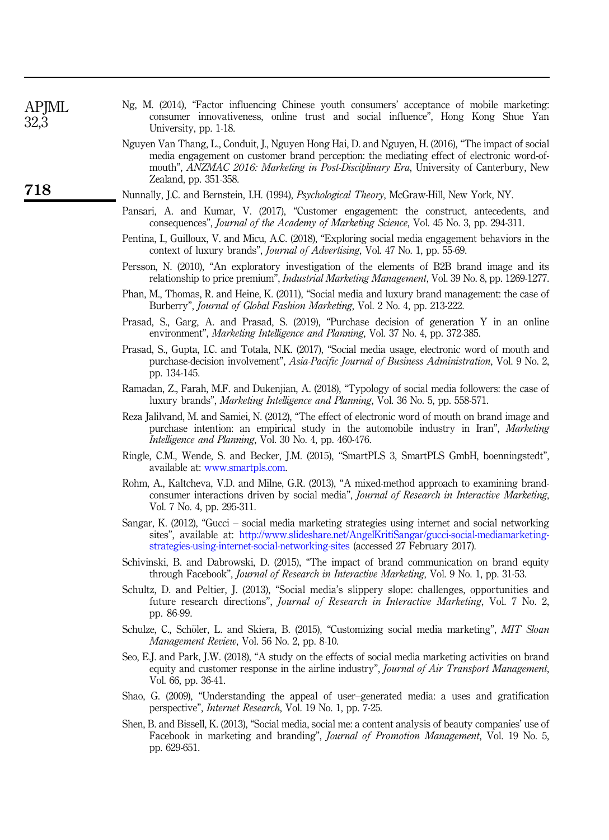<span id="page-23-14"></span>

| Ng, M. (2014), "Factor influencing Chinese youth consumers' acceptance of mobile marketing: |  |  |  |  |  |
|---------------------------------------------------------------------------------------------|--|--|--|--|--|
| consumer innovativeness, online trust and social influence", Hong Kong Shue Yan             |  |  |  |  |  |
| University, pp. 1-18.                                                                       |  |  |  |  |  |

- <span id="page-23-12"></span>Nguyen Van Thang, L., Conduit, J., Nguyen Hong Hai, D. and Nguyen, H. (2016), "The impact of social media engagement on customer brand perception: the mediating effect of electronic word-ofmouth", ANZMAC 2016: Marketing in Post-Disciplinary Era, University of Canterbury, New Zealand, pp. 351-358.
- <span id="page-23-16"></span>Nunnally, J.C. and Bernstein, I.H. (1994), Psychological Theory, McGraw-Hill, New York, NY.
- <span id="page-23-0"></span>Pansari, A. and Kumar, V. (2017), "Customer engagement: the construct, antecedents, and consequences", Journal of the Academy of Marketing Science, Vol. 45 No. 3, pp. 294-311.
- <span id="page-23-17"></span>Pentina, I., Guilloux, V. and Micu, A.C. (2018), "Exploring social media engagement behaviors in the context of luxury brands", Journal of Advertising, Vol. 47 No. 1, pp. 55-69.
- <span id="page-23-13"></span>Persson, N. (2010), "An exploratory investigation of the elements of B2B brand image and its relationship to price premium", Industrial Marketing Management, Vol. 39 No. 8, pp. 1269-1277.
- <span id="page-23-5"></span>Phan, M., Thomas, R. and Heine, K. (2011), "Social media and luxury brand management: the case of Burberry", Journal of Global Fashion Marketing, Vol. 2 No. 4, pp. 213-222.
- <span id="page-23-6"></span>Prasad, S., Garg, A. and Prasad, S. (2019), "Purchase decision of generation Y in an online environment", Marketing Intelligence and Planning, Vol. 37 No. 4, pp. 372-385.
- <span id="page-23-7"></span>Prasad, S., Gupta, I.C. and Totala, N.K. (2017), "Social media usage, electronic word of mouth and purchase-decision involvement", Asia-Pacific Journal of Business Administration, Vol. 9 No. 2, pp. 134-145.
- <span id="page-23-19"></span>Ramadan, Z., Farah, M.F. and Dukenjian, A. (2018), "Typology of social media followers: the case of luxury brands", Marketing Intelligence and Planning, Vol. 36 No. 5, pp. 558-571.
- <span id="page-23-9"></span>Reza Jalilvand, M. and Samiei, N. (2012), "The effect of electronic word of mouth on brand image and purchase intention: an empirical study in the automobile industry in Iran", Marketing Intelligence and Planning, Vol. 30 No. 4, pp. 460-476.
- <span id="page-23-15"></span>Ringle, C.M., Wende, S. and Becker, J.M. (2015), "SmartPLS 3, SmartPLS GmbH, boenningstedt", available at: [www.smartpls.com](http://www.smartpls.com).
- <span id="page-23-4"></span>Rohm, A., Kaltcheva, V.D. and Milne, G.R. (2013), "A mixed-method approach to examining brandconsumer interactions driven by social media", Journal of Research in Interactive Marketing, Vol. 7 No. 4, pp. 295-311.
- <span id="page-23-8"></span>Sangar, K. (2012), "Gucci – social media marketing strategies using internet and social networking sites", available at: [http://www.slideshare.net/AngelKritiSangar/gucci-social-mediamarketing](http://www.slideshare.net/AngelKritiSangar/gucci-social-mediamarketing-strategies-using-internet-social-networking-sites)[strategies-using-internet-social-networking-sites](http://www.slideshare.net/AngelKritiSangar/gucci-social-mediamarketing-strategies-using-internet-social-networking-sites) (accessed 27 February 2017).
- <span id="page-23-11"></span>Schivinski, B. and Dabrowski, D. (2015), "The impact of brand communication on brand equity through Facebook", Journal of Research in Interactive Marketing, Vol. 9 No. 1, pp. 31-53.
- <span id="page-23-1"></span>Schultz, D. and Peltier, J. (2013), "Social media's slippery slope: challenges, opportunities and future research directions", Journal of Research in Interactive Marketing, Vol. 7 No. 2, pp. 86-99.
- <span id="page-23-10"></span>Schulze, C., Schöler, L. and Skiera, B. (2015), "Customizing social media marketing", MIT Sloan Management Review, Vol. 56 No. 2, pp. 8-10.
- <span id="page-23-18"></span>Seo, E.J. and Park, J.W. (2018), "A study on the effects of social media marketing activities on brand equity and customer response in the airline industry", Journal of Air Transport Management, Vol. 66, pp. 36-41.
- <span id="page-23-2"></span>Shao, G. (2009), "Understanding the appeal of user–generated media: a uses and gratification perspective", Internet Research, Vol. 19 No. 1, pp. 7-25.
- <span id="page-23-3"></span>Shen, B. and Bissell, K. (2013), "Social media, social me: a content analysis of beauty companies' use of Facebook in marketing and branding", Journal of Promotion Management, Vol. 19 No. 5, pp. 629-651.

**APIML** 32,3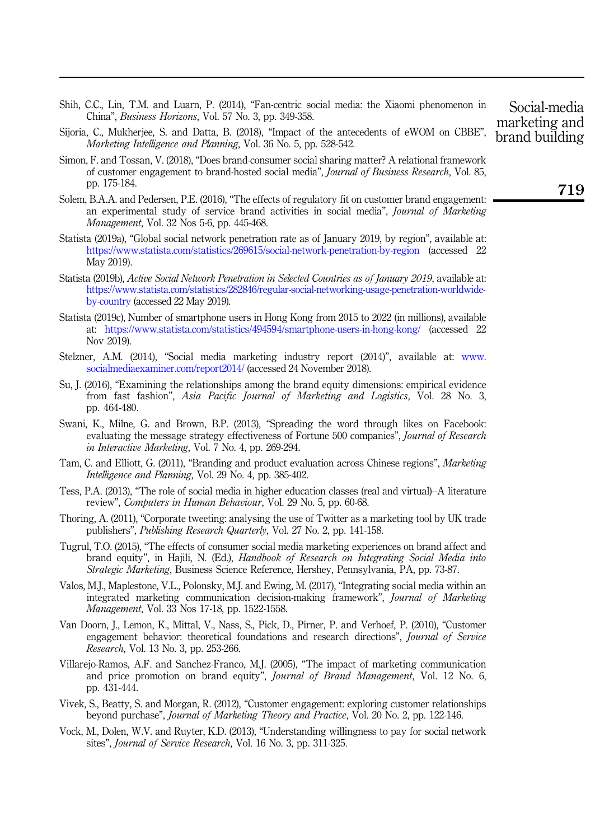- <span id="page-24-9"></span>Shih, C.C., Lin, T.M. and Luarn, P. (2014), "Fan-centric social media: the Xiaomi phenomenon in China", Business Horizons, Vol. 57 No. 3, pp. 349-358.
- <span id="page-24-18"></span>Sijoria, C., Mukherjee, S. and Datta, B. (2018), "Impact of the antecedents of eWOM on CBBE", Marketing Intelligence and Planning, Vol. 36 No. 5, pp. 528-542.
- <span id="page-24-12"></span>Simon, F. and Tossan, V. (2018), "Does brand-consumer social sharing matter? A relational framework of customer engagement to brand-hosted social media", Journal of Business Research, Vol. 85, pp. 175-184.
- <span id="page-24-2"></span>Solem, B.A.A. and Pedersen, P.E. (2016), "The effects of regulatory fit on customer brand engagement: an experimental study of service brand activities in social media", *Journal of Marketing* Management, Vol. 32 Nos 5-6, pp. 445-468.
- <span id="page-24-4"></span>Statista (2019a), "Global social network penetration rate as of January 2019, by region", available at: <https://www.statista.com/statistics/269615/social-network-penetration-by-region> (accessed 22 May 2019).
- <span id="page-24-5"></span>Statista (2019b), Active Social Network Penetration in Selected Countries as of January 2019, available at: [https://www.statista.com/statistics/282846/regular-social-networking-usage-penetration-worldwide](https://www.statista.com/statistics/282846/regular-social-networking-usage-penetration-worldwide-by-country)[by-country](https://www.statista.com/statistics/282846/regular-social-networking-usage-penetration-worldwide-by-country) (accessed 22 May 2019).
- <span id="page-24-16"></span>Statista (2019c), Number of smartphone users in Hong Kong from 2015 to 2022 (in millions), available at: <https://www.statista.com/statistics/494594/smartphone-users-in-hong-kong/> (accessed 22 Nov 2019).
- <span id="page-24-6"></span>Stelzner, A.M. (2014), "Social media marketing industry report (2014)", available at: [www.](www.socialmediaexaminer.com/report2014/) [socialmediaexaminer.com/report2014/](www.socialmediaexaminer.com/report2014/) (accessed 24 November 2018).
- <span id="page-24-13"></span>Su, J. (2016), "Examining the relationships among the brand equity dimensions: empirical evidence from fast fashion", Asia Pacific Journal of Marketing and Logistics, Vol. 28 No. 3, pp. 464-480.
- <span id="page-24-11"></span>Swani, K., Milne, G. and Brown, B.P. (2013), "Spreading the word through likes on Facebook: evaluating the message strategy effectiveness of Fortune 500 companies", Journal of Research in Interactive Marketing, Vol. 7 No. 4, pp. 269-294.
- <span id="page-24-15"></span>Tam, C. and Elliott, G. (2011), "Branding and product evaluation across Chinese regions", Marketing Intelligence and Planning, Vol. 29 No. 4, pp. 385-402.
- <span id="page-24-8"></span>Tess, P.A. (2013), "The role of social media in higher education classes (real and virtual)–A literature review", Computers in Human Behaviour, Vol. 29 No. 5, pp. 60-68.
- <span id="page-24-3"></span>Thoring, A. (2011), "Corporate tweeting: analysing the use of Twitter as a marketing tool by UK trade publishers", Publishing Research Quarterly, Vol. 27 No. 2, pp. 141-158.
- <span id="page-24-10"></span>Tugrul, T.O. (2015), "The effects of consumer social media marketing experiences on brand affect and brand equity", in Hajili, N. (Ed.), Handbook of Research on Integrating Social Media into Strategic Marketing, Business Science Reference, Hershey, Pennsylvania, PA, pp. 73-87.
- <span id="page-24-7"></span>Valos, M.J., Maplestone, V.L., Polonsky, M.J. and Ewing, M. (2017), "Integrating social media within an integrated marketing communication decision-making framework", Journal of Marketing Management, Vol. 33 Nos 17-18, pp. 1522-1558.
- <span id="page-24-0"></span>Van Doorn, J., Lemon, K., Mittal, V., Nass, S., Pick, D., Pirner, P. and Verhoef, P. (2010), "Customer engagement behavior: theoretical foundations and research directions", Journal of Service Research, Vol. 13 No. 3, pp. 253-266.
- <span id="page-24-14"></span>Villarejo-Ramos, A.F. and Sanchez-Franco, M.J. (2005), "The impact of marketing communication and price promotion on brand equity", Journal of Brand Management, Vol. 12 No. 6, pp. 431-444.
- <span id="page-24-1"></span>Vivek, S., Beatty, S. and Morgan, R. (2012), "Customer engagement: exploring customer relationships beyond purchase", Journal of Marketing Theory and Practice, Vol. 20 No. 2, pp. 122-146.
- <span id="page-24-17"></span>Vock, M., Dolen, W.V. and Ruyter, K.D. (2013), "Understanding willingness to pay for social network sites", Journal of Service Research, Vol. 16 No. 3, pp. 311-325.

Social-media marketing and brand building